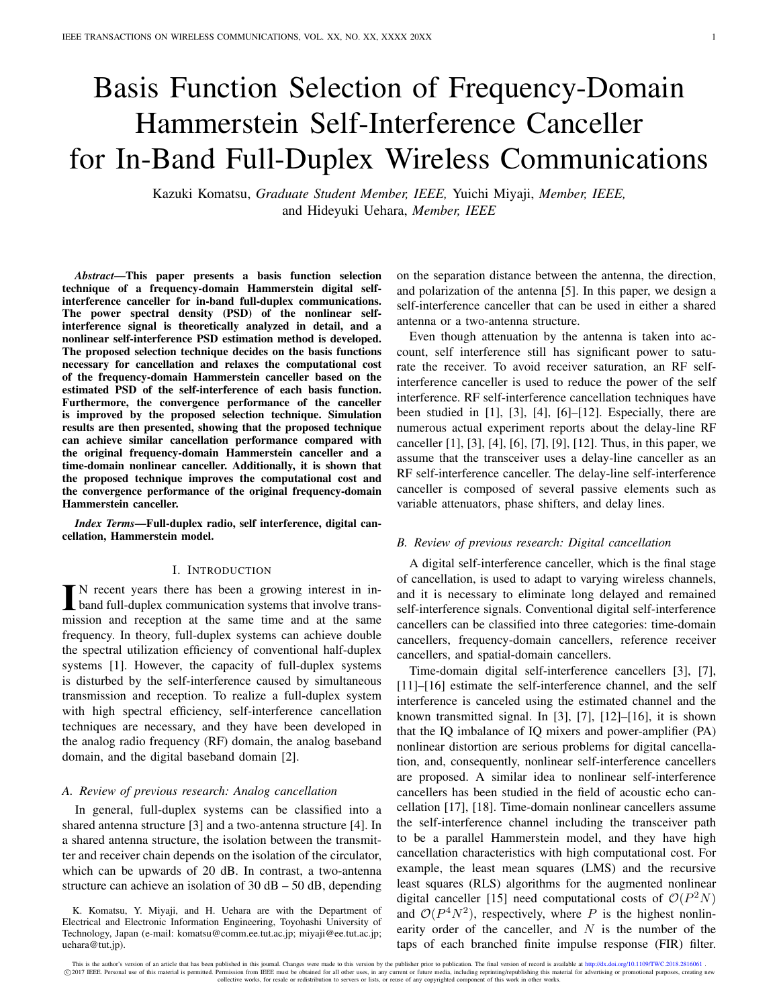# Basis Function Selection of Frequency-Domain Hammerstein Self-Interference Canceller for In-Band Full-Duplex Wireless Communications

Kazuki Komatsu, *Graduate Student Member, IEEE,* Yuichi Miyaji, *Member, IEEE,* and Hideyuki Uehara, *Member, IEEE*

*Abstract*—This paper presents a basis function selection technique of a frequency-domain Hammerstein digital selfinterference canceller for in-band full-duplex communications. The power spectral density (PSD) of the nonlinear selfinterference signal is theoretically analyzed in detail, and a nonlinear self-interference PSD estimation method is developed. The proposed selection technique decides on the basis functions necessary for cancellation and relaxes the computational cost of the frequency-domain Hammerstein canceller based on the estimated PSD of the self-interference of each basis function. Furthermore, the convergence performance of the canceller is improved by the proposed selection technique. Simulation results are then presented, showing that the proposed technique can achieve similar cancellation performance compared with the original frequency-domain Hammerstein canceller and a time-domain nonlinear canceller. Additionally, it is shown that the proposed technique improves the computational cost and the convergence performance of the original frequency-domain Hammerstein canceller.

*Index Terms*—Full-duplex radio, self interference, digital cancellation, Hammerstein model.

#### I. INTRODUCTION

IN recent years there has been a growing interest in in-<br>band full-duplex communication systems that involve trans-<br>mission and according at the sense time and at the sense N recent years there has been a growing interest in inmission and reception at the same time and at the same frequency. In theory, full-duplex systems can achieve double the spectral utilization efficiency of conventional half-duplex systems [\[1\]](#page-11-0). However, the capacity of full-duplex systems is disturbed by the self-interference caused by simultaneous transmission and reception. To realize a full-duplex system with high spectral efficiency, self-interference cancellation techniques are necessary, and they have been developed in the analog radio frequency (RF) domain, the analog baseband domain, and the digital baseband domain [\[2\]](#page-11-1).

## *A. Review of previous research: Analog cancellation*

In general, full-duplex systems can be classified into a shared antenna structure [\[3\]](#page-11-2) and a two-antenna structure [\[4\]](#page-11-3). In a shared antenna structure, the isolation between the transmitter and receiver chain depends on the isolation of the circulator, which can be upwards of 20 dB. In contrast, a two-antenna structure can achieve an isolation of  $30$  dB –  $50$  dB, depending

K. Komatsu, Y. Miyaji, and H. Uehara are with the Department of Electrical and Electronic Information Engineering, Toyohashi University of Technology, Japan (e-mail: komatsu@comm.ee.tut.ac.jp; miyaji@ee.tut.ac.jp; uehara@tut.jp).

on the separation distance between the antenna, the direction, and polarization of the antenna [\[5\]](#page-11-4). In this paper, we design a self-interference canceller that can be used in either a shared antenna or a two-antenna structure.

Even though attenuation by the antenna is taken into account, self interference still has significant power to saturate the receiver. To avoid receiver saturation, an RF selfinterference canceller is used to reduce the power of the self interference. RF self-interference cancellation techniques have been studied in [\[1\]](#page-11-0), [\[3\]](#page-11-2), [\[4\]](#page-11-3), [\[6\]](#page-11-5)–[\[12\]](#page-12-0). Especially, there are numerous actual experiment reports about the delay-line RF canceller [\[1\]](#page-11-0), [\[3\]](#page-11-2), [\[4\]](#page-11-3), [\[6\]](#page-11-5), [\[7\]](#page-11-6), [\[9\]](#page-12-1), [\[12\]](#page-12-0). Thus, in this paper, we assume that the transceiver uses a delay-line canceller as an RF self-interference canceller. The delay-line self-interference canceller is composed of several passive elements such as variable attenuators, phase shifters, and delay lines.

## *B. Review of previous research: Digital cancellation*

A digital self-interference canceller, which is the final stage of cancellation, is used to adapt to varying wireless channels, and it is necessary to eliminate long delayed and remained self-interference signals. Conventional digital self-interference cancellers can be classified into three categories: time-domain cancellers, frequency-domain cancellers, reference receiver cancellers, and spatial-domain cancellers.

Time-domain digital self-interference cancellers [\[3\]](#page-11-2), [\[7\]](#page-11-6), [\[11\]](#page-12-2)–[\[16\]](#page-12-3) estimate the self-interference channel, and the self interference is canceled using the estimated channel and the known transmitted signal. In [\[3\]](#page-11-2), [\[7\]](#page-11-6), [\[12\]](#page-12-0)–[\[16\]](#page-12-3), it is shown that the IQ imbalance of IQ mixers and power-amplifier (PA) nonlinear distortion are serious problems for digital cancellation, and, consequently, nonlinear self-interference cancellers are proposed. A similar idea to nonlinear self-interference cancellers has been studied in the field of acoustic echo cancellation [\[17\]](#page-12-4), [\[18\]](#page-12-5). Time-domain nonlinear cancellers assume the self-interference channel including the transceiver path to be a parallel Hammerstein model, and they have high cancellation characteristics with high computational cost. For example, the least mean squares (LMS) and the recursive least squares (RLS) algorithms for the augmented nonlinear digital canceller [\[15\]](#page-12-6) need computational costs of  $\mathcal{O}(P^2N)$ and  $O(P^4N^2)$ , respectively, where P is the highest nonlinearity order of the canceller, and  $N$  is the number of the taps of each branched finite impulse response (FIR) filter.

This is the author's version of an article that has been published in this journal. Changes were made to this version by the publisher prior to publication. The final version of record is available at http://dx.doi.org/10. C 2017 IEEE. Personal use of this material is permitted. Permission from IEEE must be obtained for all other uses, in any current or future media, including reprinting/republishing this material for advertising or promotio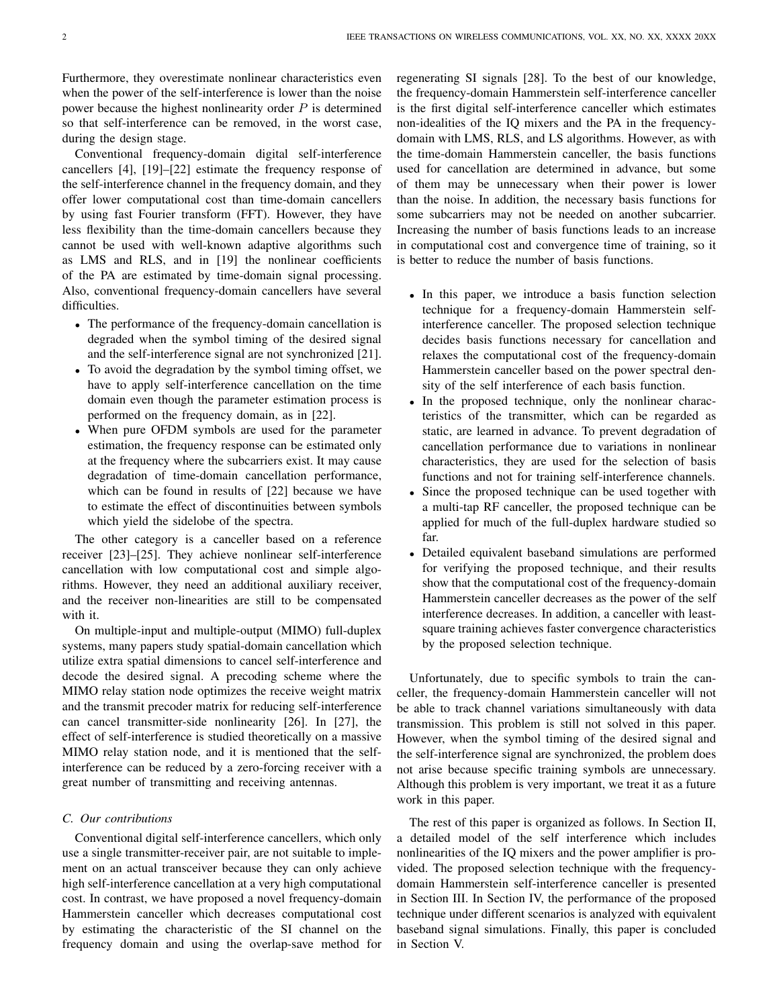Furthermore, they overestimate nonlinear characteristics even when the power of the self-interference is lower than the noise power because the highest nonlinearity order  $P$  is determined so that self-interference can be removed, in the worst case, during the design stage.

Conventional frequency-domain digital self-interference cancellers [\[4\]](#page-11-3), [\[19\]](#page-12-7)–[\[22\]](#page-12-8) estimate the frequency response of the self-interference channel in the frequency domain, and they offer lower computational cost than time-domain cancellers by using fast Fourier transform (FFT). However, they have less flexibility than the time-domain cancellers because they cannot be used with well-known adaptive algorithms such as LMS and RLS, and in [\[19\]](#page-12-7) the nonlinear coefficients of the PA are estimated by time-domain signal processing. Also, conventional frequency-domain cancellers have several difficulties.

- The performance of the frequency-domain cancellation is degraded when the symbol timing of the desired signal and the self-interference signal are not synchronized [\[21\]](#page-12-9).
- To avoid the degradation by the symbol timing offset, we have to apply self-interference cancellation on the time domain even though the parameter estimation process is performed on the frequency domain, as in [\[22\]](#page-12-8).
- When pure OFDM symbols are used for the parameter estimation, the frequency response can be estimated only at the frequency where the subcarriers exist. It may cause degradation of time-domain cancellation performance, which can be found in results of [\[22\]](#page-12-8) because we have to estimate the effect of discontinuities between symbols which yield the sidelobe of the spectra.

The other category is a canceller based on a reference receiver [\[23\]](#page-12-10)–[\[25\]](#page-12-11). They achieve nonlinear self-interference cancellation with low computational cost and simple algorithms. However, they need an additional auxiliary receiver, and the receiver non-linearities are still to be compensated with it.

On multiple-input and multiple-output (MIMO) full-duplex systems, many papers study spatial-domain cancellation which utilize extra spatial dimensions to cancel self-interference and decode the desired signal. A precoding scheme where the MIMO relay station node optimizes the receive weight matrix and the transmit precoder matrix for reducing self-interference can cancel transmitter-side nonlinearity [\[26\]](#page-12-12). In [\[27\]](#page-12-13), the effect of self-interference is studied theoretically on a massive MIMO relay station node, and it is mentioned that the selfinterference can be reduced by a zero-forcing receiver with a great number of transmitting and receiving antennas.

# *C. Our contributions*

Conventional digital self-interference cancellers, which only use a single transmitter-receiver pair, are not suitable to implement on an actual transceiver because they can only achieve high self-interference cancellation at a very high computational cost. In contrast, we have proposed a novel frequency-domain Hammerstein canceller which decreases computational cost by estimating the characteristic of the SI channel on the frequency domain and using the overlap-save method for

regenerating SI signals [\[28\]](#page-12-14). To the best of our knowledge, the frequency-domain Hammerstein self-interference canceller is the first digital self-interference canceller which estimates non-idealities of the IQ mixers and the PA in the frequencydomain with LMS, RLS, and LS algorithms. However, as with the time-domain Hammerstein canceller, the basis functions used for cancellation are determined in advance, but some of them may be unnecessary when their power is lower than the noise. In addition, the necessary basis functions for some subcarriers may not be needed on another subcarrier. Increasing the number of basis functions leads to an increase in computational cost and convergence time of training, so it is better to reduce the number of basis functions.

- In this paper, we introduce a basis function selection technique for a frequency-domain Hammerstein selfinterference canceller. The proposed selection technique decides basis functions necessary for cancellation and relaxes the computational cost of the frequency-domain Hammerstein canceller based on the power spectral density of the self interference of each basis function.
- In the proposed technique, only the nonlinear characteristics of the transmitter, which can be regarded as static, are learned in advance. To prevent degradation of cancellation performance due to variations in nonlinear characteristics, they are used for the selection of basis functions and not for training self-interference channels.
- Since the proposed technique can be used together with a multi-tap RF canceller, the proposed technique can be applied for much of the full-duplex hardware studied so far.
- Detailed equivalent baseband simulations are performed for verifying the proposed technique, and their results show that the computational cost of the frequency-domain Hammerstein canceller decreases as the power of the self interference decreases. In addition, a canceller with leastsquare training achieves faster convergence characteristics by the proposed selection technique.

Unfortunately, due to specific symbols to train the canceller, the frequency-domain Hammerstein canceller will not be able to track channel variations simultaneously with data transmission. This problem is still not solved in this paper. However, when the symbol timing of the desired signal and the self-interference signal are synchronized, the problem does not arise because specific training symbols are unnecessary. Although this problem is very important, we treat it as a future work in this paper.

The rest of this paper is organized as follows. In Section II, a detailed model of the self interference which includes nonlinearities of the IQ mixers and the power amplifier is provided. The proposed selection technique with the frequencydomain Hammerstein self-interference canceller is presented in Section III. In Section IV, the performance of the proposed technique under different scenarios is analyzed with equivalent baseband signal simulations. Finally, this paper is concluded in Section V.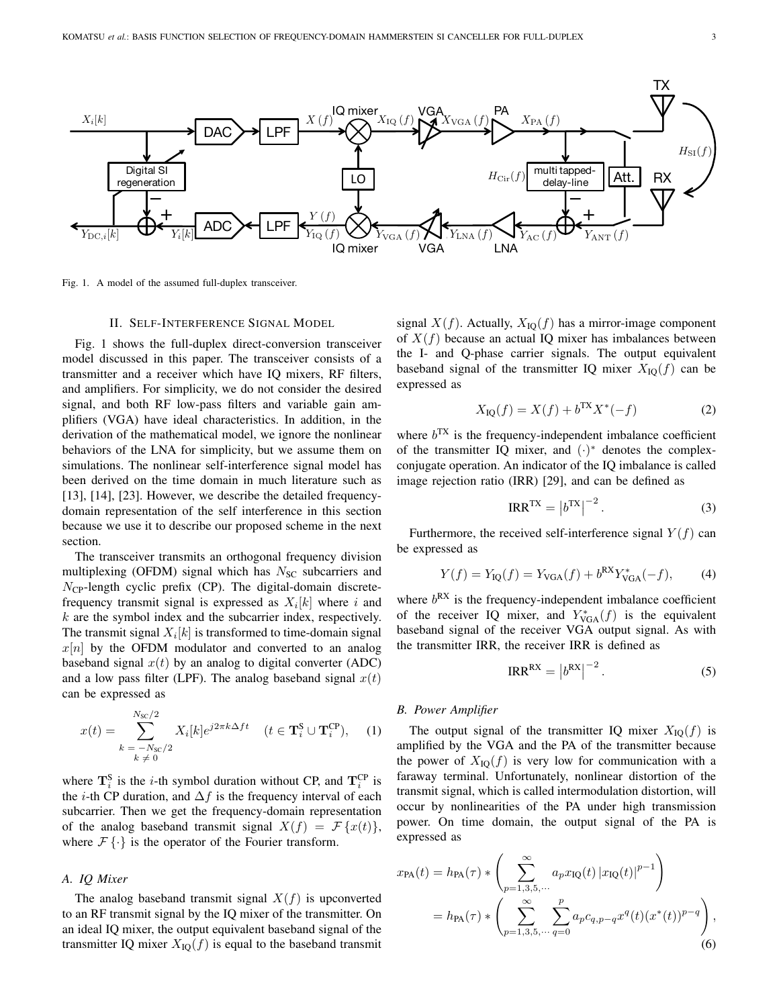

<span id="page-2-0"></span>Fig. 1. A model of the assumed full-duplex transceiver.

# II. SELF-INTERFERENCE SIGNAL MODEL

Fig. [1](#page-2-0) shows the full-duplex direct-conversion transceiver model discussed in this paper. The transceiver consists of a transmitter and a receiver which have IQ mixers, RF filters, and amplifiers. For simplicity, we do not consider the desired signal, and both RF low-pass filters and variable gain amplifiers (VGA) have ideal characteristics. In addition, in the derivation of the mathematical model, we ignore the nonlinear behaviors of the LNA for simplicity, but we assume them on simulations. The nonlinear self-interference signal model has been derived on the time domain in much literature such as [\[13\]](#page-12-15), [\[14\]](#page-12-16), [\[23\]](#page-12-10). However, we describe the detailed frequencydomain representation of the self interference in this section because we use it to describe our proposed scheme in the next section.

The transceiver transmits an orthogonal frequency division multiplexing (OFDM) signal which has  $N<sub>SC</sub>$  subcarriers and  $N_{\text{CP}}$ -length cyclic prefix (CP). The digital-domain discretefrequency transmit signal is expressed as  $X_i[k]$  where i and  $k$  are the symbol index and the subcarrier index, respectively. The transmit signal  $X_i[k]$  is transformed to time-domain signal  $x[n]$  by the OFDM modulator and converted to an analog baseband signal  $x(t)$  by an analog to digital converter (ADC) and a low pass filter (LPF). The analog baseband signal  $x(t)$ can be expressed as

$$
x(t) = \sum_{\substack{k = -N_{\rm SC}/2\\k \neq 0}}^{N_{\rm SC}/2} X_i[k] e^{j2\pi k \Delta ft} \quad (t \in \mathbf{T}_i^{\rm S} \cup \mathbf{T}_i^{\rm CP}), \quad (1)
$$

where  $\mathbf{T}_i^{\text{S}}$  is the *i*-th symbol duration without CP, and  $\mathbf{T}_i^{\text{CP}}$  is subcarrier. Then we get the frequency-domain representation the *i*-th CP duration, and  $\Delta f$  is the frequency interval of each of the analog baseband transmit signal  $X(f) = \mathcal{F}{x(t)}$ , where  $\mathcal{F}\{\cdot\}$  is the operator of the Fourier transform.

# *A. IQ Mixer*

1 an ideal IQ mixer, the output equivalent baseband signal of the The analog baseband transmit signal  $X(f)$  is upconverted to an RF transmit signal by the IQ mixer of the transmitter. On transmitter IQ mixer  $X_{\text{IO}}(f)$  is equal to the baseband transmit signal  $X(f)$ . Actually,  $X_{\text{IO}}(f)$  has a mirror-image component of  $X(f)$  because an actual IQ mixer has imbalances between the I- and Q-phase carrier signals. The output equivalent baseband signal of the transmitter IQ mixer  $X_{\text{IQ}}(f)$  can be expressed as

$$
X_{\rm IQ}(f) = X(f) + b^{\rm TX} X^*(-f) \tag{2}
$$

where  $b^{TX}$  is the frequency-independent imbalance coefficient of the transmitter IQ mixer, and  $(·)$ <sup>\*</sup> denotes the complexconjugate operation. An indicator of the IQ imbalance is called image rejection ratio (IRR) [\[29\]](#page-12-17), and can be defined as

<span id="page-2-1"></span>
$$
IRR^{TX} = |b^{TX}|^{-2}.
$$
 (3)

Furthermore, the received self-interference signal  $Y(f)$  can be expressed as

$$
Y(f) = Y_{\text{IQ}}(f) = Y_{\text{VGA}}(f) + b^{\text{RX}} Y_{\text{VGA}}^*(-f), \tag{4}
$$

where  $b^{RX}$  is the frequency-independent imbalance coefficient of the receiver IQ mixer, and  $Y_{\text{VGA}}^*(f)$  is the equivalent baseband signal of the receiver VGA output signal. As with the transmitter IRR, the receiver IRR is defined as

$$
IRR^{RX} = |b^{RX}|^{-2}.
$$
 (5)

## *B. Power Amplifier*

power. On time domain, the output signal of the PA is faraway terminal. Unfortunately, nonlinear distortion of the The output signal of the transmitter IQ mixer  $X_{\text{IO}}(f)$  is amplified by the VGA and the PA of the transmitter because the power of  $X_{\text{IO}}(f)$  is very low for communication with a transmit signal, which is called intermodulation distortion, will occur by nonlinearities of the PA under high transmission expressed as

$$
x_{\text{PA}}(t) = h_{\text{PA}}(\tau) * \left( \sum_{p=1,3,5,\cdots}^{\infty} a_p x_{\text{IQ}}(t) |x_{\text{IQ}}(t)|^{p-1} \right)
$$
  
=  $h_{\text{PA}}(\tau) * \left( \sum_{p=1,3,5,\cdots}^{\infty} \sum_{q=0}^{p} a_p c_{q,p-q} x^q(t) (x^*(t))^{p-q} \right),$   
(6)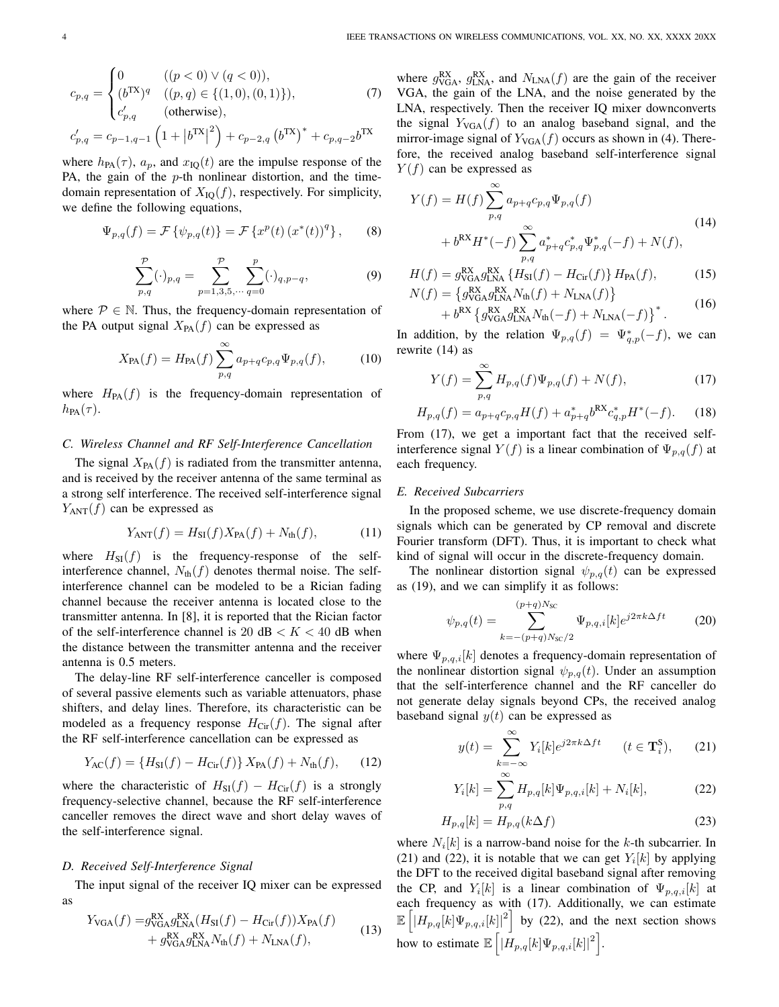$$
c_{p,q} = \begin{cases} 0 & ((p < 0) \lor (q < 0)), \\ (b^{TX})^q & ((p, q) \in \{(1, 0), (0, 1)\}), \\ c'_{p,q} & \text{(otherwise}), \end{cases}
$$
 (7)  

$$
c'_{p,q} = c_{p-1,q-1} \left(1 + |b^{TX}|^2\right) + c_{p-2,q} (b^{TX})^* + c_{p,q-2} b^{TX}
$$

where  $h_{PA}(\tau)$ ,  $a_p$ , and  $x_{IQ}(t)$  are the impulse response of the PA, the gain of the  $p$ -th nonlinear distortion, and the timedomain representation of  $X_{\text{IQ}}(f)$ , respectively. For simplicity, we define the following equations,

$$
\Psi_{p,q}(f) = \mathcal{F}\left\{\psi_{p,q}(t)\right\} = \mathcal{F}\left\{x^p(t)\left(x^*(t)\right)^q\right\},\qquad(8)
$$

$$
\sum_{p,q}^{p}(\cdot)_{p,q} = \sum_{p=1,3,5,\cdots}^{p} \sum_{q=0}^{p}(\cdot)_{q,p-q},
$$
\n(9)

where  $P \in \mathbb{N}$ . Thus, the frequency-domain representation of the PA output signal  $X_{PA}(f)$  can be expressed as

$$
X_{\text{PA}}(f) = H_{\text{PA}}(f) \sum_{p,q}^{\infty} a_{p+q} c_{p,q} \Psi_{p,q}(f), \tag{10}
$$

where  $H_{PA}(f)$  is the frequency-domain representation of  $h_{\text{PA}}(\tau)$ .

# *C. Wireless Channel and RF Self-Interference Cancellation*

The signal  $X_{PA}(f)$  is radiated from the transmitter antenna, and is received by the receiver antenna of the same terminal as a strong self interference. The received self-interference signal  $Y_{\text{ANT}}(f)$  can be expressed as

$$
Y_{\text{ANT}}(f) = H_{\text{SI}}(f)X_{\text{PA}}(f) + N_{\text{th}}(f),\tag{11}
$$

where  $H_{SI}(f)$  is the frequency-response of the selfinterference channel,  $N_{\text{th}}(f)$  denotes thermal noise. The selfinterference channel can be modeled to be a Rician fading channel because the receiver antenna is located close to the transmitter antenna. In [\[8\]](#page-11-7), it is reported that the Rician factor of the self-interference channel is 20 dB  $K < 40$  dB when the distance between the transmitter antenna and the receiver antenna is 0.5 meters.

The delay-line RF self-interference canceller is composed of several passive elements such as variable attenuators, phase shifters, and delay lines. Therefore, its characteristic can be modeled as a frequency response  $H_{\text{Cir}}(f)$ . The signal after the RF self-interference cancellation can be expressed as

$$
Y_{AC}(f) = \{H_{SI}(f) - H_{Cir}(f)\} X_{PA}(f) + N_{th}(f), \quad (12)
$$

where the characteristic of  $H_{SI}(f) - H_{Cir}(f)$  is a strongly frequency-selective channel, because the RF self-interference canceller removes the direct wave and short delay waves of the self-interference signal.

# *D. Received Self-Interference Signal*

The input signal of the receiver IQ mixer can be expressed as

$$
Y_{\text{VGA}}(f) = g_{\text{VGA}}^{\text{RX}} g_{\text{LNA}}^{\text{RX}}(H_{\text{SI}}(f) - H_{\text{Cir}}(f)) X_{\text{PA}}(f)
$$
  
+ 
$$
g_{\text{VGA}}^{\text{RX}} g_{\text{LNA}}^{\text{RX}} N_{\text{th}}(f) + N_{\text{LNA}}(f),
$$
 (13)

where  $g_{\text{VGA}}^{\text{RX}}, g_{\text{LNA}}^{\text{RX}},$  and  $N_{\text{LNA}}(f)$  are the gain of the receiver VGA, the gain of the LNA, and the noise generated by the LNA, respectively. Then the receiver IQ mixer downconverts the signal  $Y_{VGA}(f)$  to an analog baseband signal, and the mirror-image signal of  $Y_{VGA}(f)$  occurs as shown in [\(4\)](#page-2-1). Therefore, the received analog baseband self-interference signal  $Y(f)$  can be expressed as

<span id="page-3-0"></span>
$$
Y(f) = H(f) \sum_{p,q}^{\infty} a_{p+q} c_{p,q} \Psi_{p,q}(f)
$$
  
+  $b^{RX} H^*(-f) \sum_{p,q}^{\infty} a_{p+q}^* c_{p,q}^* \Psi_{p,q}^*(-f) + N(f),$  (14)

$$
H(f) = g_{\text{VGA}}^{\text{RX}} g_{\text{LNA}}^{\text{RX}} \{ H_{\text{SI}}(f) - H_{\text{Cir}}(f) \} H_{\text{PA}}(f),
$$
(15)  

$$
N(f) = \{ g_{\text{VGA}}^{\text{RX}} g_{\text{LNA}}^{\text{RX}} N_{\text{th}}(f) + N_{\text{LNA}}(f) \}
$$
(16)

$$
(f) = \{g_{\text{VGA}}^{\text{KX}} g_{\text{LNA}}^{\text{RX}} N_{\text{th}}(f) + N_{\text{LNA}}(f)\} + b^{\text{RX}} \{g_{\text{VGA}}^{\text{RX}} g_{\text{LNA}}^{\text{RX}} N_{\text{th}}(-f) + N_{\text{LNA}}(-f)\}^*.
$$
 (16)

In addition, by the relation  $\Psi_{p,q}(f) = \Psi_{q,p}^*(-f)$ , we can rewrite [\(14\)](#page-3-0) as

<span id="page-3-4"></span><span id="page-3-1"></span>
$$
Y(f) = \sum_{p,q}^{\infty} H_{p,q}(f)\Psi_{p,q}(f) + N(f),
$$
\n(17)

$$
H_{p,q}(f) = a_{p+q}c_{p,q}H(f) + a_{p+q}^{*}b^{\text{RX}}c_{q,p}^{*}H^{*}(-f). \tag{18}
$$

From [\(17\)](#page-3-1), we get a important fact that the received selfinterference signal  $Y(f)$  is a linear combination of  $\Psi_{p,q}(f)$  at each frequency.

## *E. Received Subcarriers*

In the proposed scheme, we use discrete-frequency domain signals which can be generated by CP removal and discrete Fourier transform (DFT). Thus, it is important to check what kind of signal will occur in the discrete-frequency domain.

The nonlinear distortion signal  $\psi_{p,q}(t)$  can be expressed as [\(19\)](#page-4-0), and we can simplify it as follows:

$$
\psi_{p,q}(t) = \sum_{k=-(p+q)N_{\rm SC}/2}^{(p+q)N_{\rm SC}} \Psi_{p,q,i}[k]e^{j2\pi k\Delta ft} \tag{20}
$$

where  $\Psi_{p,q,i}[k]$  denotes a frequency-domain representation of the nonlinear distortion signal  $\psi_{p,q}(t)$ . Under an assumption that the self-interference channel and the RF canceller do not generate delay signals beyond CPs, the received analog baseband signal  $y(t)$  can be expressed as

<span id="page-3-3"></span><span id="page-3-2"></span>
$$
y(t) = \sum_{k=-\infty}^{\infty} Y_i[k]e^{j2\pi k\Delta ft} \qquad (t \in \mathbf{T}_i^{\mathbf{S}}), \qquad (21)
$$

$$
Y_i[k] = \sum_{p,q}^{\infty} H_{p,q}[k] \Psi_{p,q,i}[k] + N_i[k],
$$
 (22)

$$
H_{p,q}[k] = H_{p,q}(k\Delta f)
$$
\n(23)

where  $N_i[k]$  is a narrow-band noise for the k-th subcarrier. In [\(21\)](#page-3-2) and [\(22\)](#page-3-3), it is notable that we can get  $Y_i[k]$  by applying the DFT to the received digital baseband signal after removing the CP, and  $Y_i[k]$  is a linear combination of  $\Psi_{p,q,i}[k]$  at each frequency as with [\(17\)](#page-3-1). Additionally, we can estimate  $\mathbb{E}\left[\left|H_{p,q}[k]\Psi_{p,q,i}[k]\right|^2\right]$  by [\(22\)](#page-3-3), and the next section shows how to estimate  $\mathbb{E}\left[\left|H_{p,q}[k]\Psi_{p,q,i}[k]\right|^2\right]$ .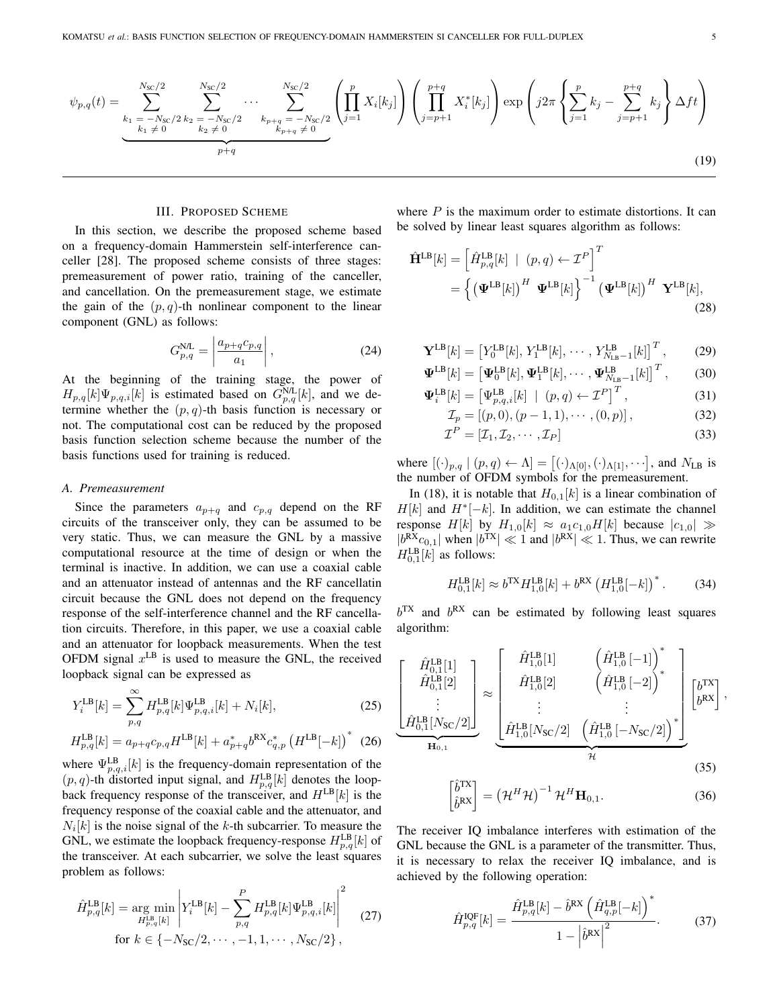$$
\psi_{p,q}(t) = \sum_{\substack{k_1 = -N_{\rm SC}/2 \\ k_1 \neq 0}}^{N_{\rm SC}/2} \sum_{\substack{k_2 = -N_{\rm SC}/2 \\ k_2 \neq 0}}^{N_{\rm SC}/2} \cdots \sum_{\substack{k_{p+q} = -N_{\rm SC}/2 \\ k_{p+q} \neq 0}}^{N_{\rm SC}/2} \left( \prod_{j=1}^p X_i[k_j] \right) \left( \prod_{j=p+1}^{p+q} X_i^*[k_j] \right) \exp\left(j2\pi \left\{ \sum_{j=1}^p k_j - \sum_{j=p+1}^{p+q} k_j \right\} \Delta ft \right)
$$
\n(19)

# III. PROPOSED SCHEME

In this section, we describe the proposed scheme based on a frequency-domain Hammerstein self-interference canceller [\[28\]](#page-12-14). The proposed scheme consists of three stages: premeasurement of power ratio, training of the canceller, and cancellation. On the premeasurement stage, we estimate the gain of the  $(p, q)$ -th nonlinear component to the linear component (GNL) as follows:

$$
G_{p,q}^{\text{N/L}} = \left| \frac{a_{p+q}c_{p,q}}{a_1} \right|,\tag{24}
$$

At the beginning of the training stage, the power of  $H_{p,q}[k]\Psi_{p,q,i}[k]$  is estimated based on  $G_{p,q}^{N,L}[k]$ , and we determine whether the  $(p, q)$ -th basis function is necessary or not. The computational cost can be reduced by the proposed basis function selection scheme because the number of the basis functions used for training is reduced.

#### *A. Premeasurement*

Since the parameters  $a_{p+q}$  and  $c_{p,q}$  depend on the RF circuits of the transceiver only, they can be assumed to be very static. Thus, we can measure the GNL by a massive computational resource at the time of design or when the terminal is inactive. In addition, we can use a coaxial cable and an attenuator instead of antennas and the RF cancellatin circuit because the GNL does not depend on the frequency response of the self-interference channel and the RF cancellation circuits. Therefore, in this paper, we use a coaxial cable and an attenuator for loopback measurements. When the test OFDM signal  $x^{\text{LB}}$  is used to measure the GNL, the received loopback signal can be expressed as

$$
Y_i^{LB}[k] = \sum_{p,q}^{\infty} H_{p,q}^{LB}[k] \Psi_{p,q,i}^{LB}[k] + N_i[k], \qquad (25)
$$

$$
H_{p,q}^{\text{LB}}[k] = a_{p+q}c_{p,q}H^{\text{LB}}[k] + a_{p+q}^{*}b^{\text{RX}}c_{q,p}^{*}\left(H^{\text{LB}}[-k]\right)^{*} (26)
$$

where  $\Psi_{p,q,i}^{\text{LB}}[k]$  is the frequency-domain representation of the  $(p, q)$ -th distorted input signal, and  $H_{p,q}^{\text{LB}}[k]$  denotes the loopback frequency response of the transceiver, and  $H<sup>LB</sup>[k]$  is the frequency response of the coaxial cable and the attenuator, and  $N_i[k]$  is the noise signal of the k-th subcarrier. To measure the GNL, we estimate the loopback frequency-response  $H_{p,q}^{\text{LB}}[k]$  of the transceiver. At each subcarrier, we solve the least squares problem as follows:

$$
\hat{H}_{p,q}^{\text{LB}}[k] = \underset{H_{p,q}^{\text{LB}}[k]}{\arg \min} \left| Y_i^{\text{LB}}[k] - \sum_{p,q}^P H_{p,q}^{\text{LB}}[k] \Psi_{p,q,i}^{\text{LB}}[k] \right|^2 \tag{27}
$$
\n
$$
\text{for } k \in \{-N_{\text{SC}}/2, \cdots, -1, 1, \cdots, N_{\text{SC}}/2\},
$$

where  $P$  is the maximum order to estimate distortions. It can be solved by linear least squares algorithm as follows:

<span id="page-4-0"></span>
$$
\hat{\mathbf{H}}^{\text{LB}}[k] = \left[\hat{H}_{p,q}^{\text{LB}}[k] \mid (p,q) \leftarrow \mathcal{I}^{P}\right]^{T}
$$
\n
$$
= \left\{ \left(\mathbf{\Psi}^{\text{LB}}[k]\right)^{H} \mathbf{\Psi}^{\text{LB}}[k] \right\}^{-1} \left(\mathbf{\Psi}^{\text{LB}}[k]\right)^{H} \mathbf{Y}^{\text{LB}}[k],
$$
\n(28)

$$
\mathbf{Y}^{\text{LB}}[k] = \left[Y_0^{\text{LB}}[k], Y_1^{\text{LB}}[k], \cdots, Y_{N_{\text{LB}}-1}^{\text{LB}}[k]\right]^T, \tag{29}
$$

$$
\mathbf{\Psi}^{\text{LB}}[k] = \left[\mathbf{\Psi}_0^{\text{LB}}[k], \mathbf{\Psi}_1^{\text{LB}}[k], \cdots, \mathbf{\Psi}_{N_{\text{LB}}-1}^{\text{LB}}[k]\right]^T, \tag{30}
$$

$$
\Psi_i^{\text{LB}}[k] = \left[\Psi_{p,q,i}^{\text{LB}}[k] \mid (p,q) \leftarrow \mathcal{I}^P\right]^T,\tag{31}
$$

$$
\mathcal{I}_p = [(p, 0), (p - 1, 1), \cdots, (0, p)], \qquad (32)
$$

$$
\mathcal{I}^P = [\mathcal{I}_1, \mathcal{I}_2, \cdots, \mathcal{I}_P]
$$
\n(33)

where  $[(\cdot)_{p,q} | (p,q) \leftarrow \Lambda] = [(\cdot)_{\Lambda[0]}, (\cdot)_{\Lambda[1]}, \cdots]$ , and  $N_{\text{LB}}$  is the number of OFDM symbols for the premeasurement.

In [\(18\)](#page-3-4), it is notable that  $H_{0,1}[k]$  is a linear combination of  $H[k]$  and  $H^*[-k]$ . In addition, we can estimate the channel response  $H[k]$  by  $H_{1,0}[k] \approx a_1 c_{1,0} H[k]$  because  $|c_{1,0}| \gg$  $|b^{RX}c_{0,1}|$  when  $|b^{TX}| \ll 1$  and  $|b^{RX}| \ll 1$ . Thus, we can rewrite  $H_{0,1}^{LB}[k]$  as follows:

$$
H_{0,1}^{LB}[k] \approx b^{TX} H_{1,0}^{LB}[k] + b^{RX} (H_{1,0}^{LB}[-k])^{*}.
$$
 (34)

 $b^{TX}$  and  $b^{RX}$  can be estimated by following least squares algorithm:

$$
\underbrace{\begin{bmatrix} \hat{H}_{0,1}^{\text{LB}}[1] \\ \hat{H}_{0,1}^{\text{LB}}[2] \\ \vdots \\ \hat{H}_{0,1}^{\text{LB}}[N_{\text{SC}}/2] \end{bmatrix}}_{\mathbf{H}_{0,1}} \approx \underbrace{\begin{bmatrix} \hat{H}_{1,0}^{\text{LB}}[1] & \left(\hat{H}_{1,0}^{\text{LB}}[-1]\right)^{*} \\ \hat{H}_{1,0}^{\text{LB}}[2] & \left(\hat{H}_{1,0}^{\text{LB}}[-2]\right)^{*} \\ \vdots \\ \hat{H}_{1,0}^{\text{LB}}[N_{\text{SC}}/2] & \left(\hat{H}_{1,0}^{\text{LB}}[-N_{\text{SC}}/2]\right)^{*} \end{bmatrix}}_{\mathcal{H}} \underbrace{\begin{bmatrix} b^{\text{TX}} \\ b^{\text{RX}} \end{bmatrix}}_{\mathcal{H}},
$$
\n(35)

$$
\begin{bmatrix} \hat{b}^{\text{TX}} \\ \hat{b}^{\text{RX}} \end{bmatrix} = \left( \mathcal{H}^H \mathcal{H} \right)^{-1} \mathcal{H}^H \mathbf{H}_{0,1}.
$$
 (36)

The receiver IQ imbalance interferes with estimation of the GNL because the GNL is a parameter of the transmitter. Thus, it is necessary to relax the receiver IQ imbalance, and is achieved by the following operation:

<span id="page-4-1"></span>
$$
\hat{H}_{p,q}^{\text{IQF}}[k] = \frac{\hat{H}_{p,q}^{\text{LB}}[k] - \hat{b}^{\text{RX}} \left(\hat{H}_{q,p}^{\text{LB}}[-k]\right)^{*}}{1 - \left|\hat{b}^{\text{RX}}\right|^{2}}.
$$
 (37)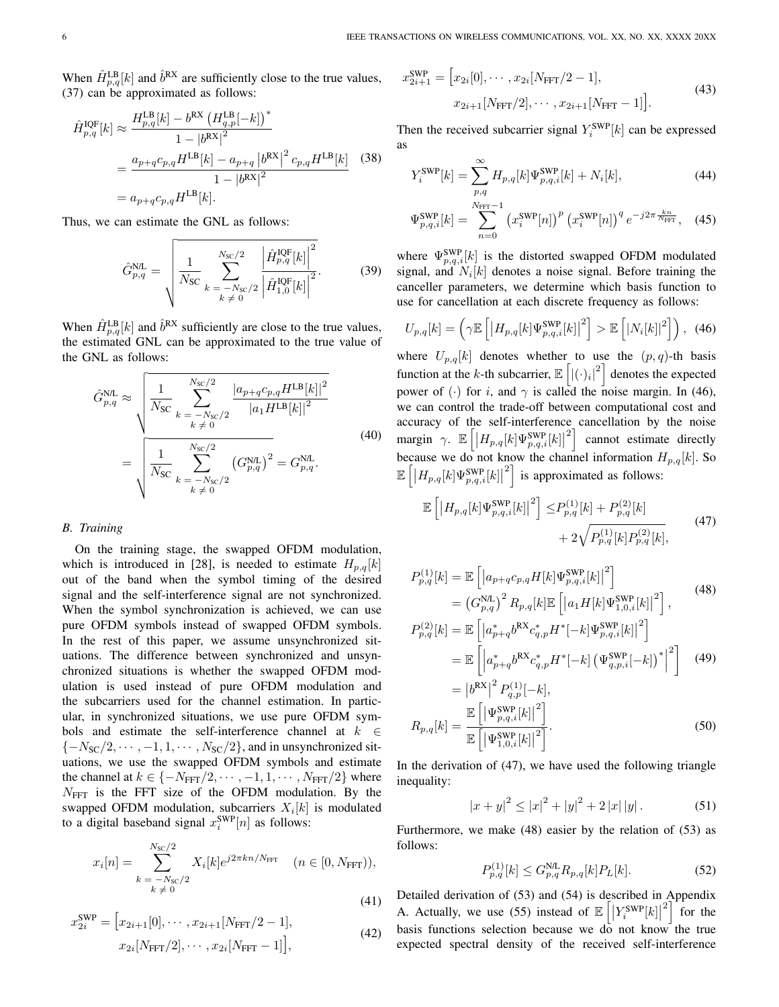When  $\hat{H}_{p,q}^{\text{LB}}[k]$  and  $\hat{b}^{\text{RX}}$  are sufficiently close to the true values, [\(37\)](#page-4-1) can be approximated as follows:

$$
\hat{H}_{p,q}^{\text{IQF}}[k] \approx \frac{H_{p,q}^{\text{LB}}[k] - b^{\text{RX}} \left(H_{q,p}^{\text{LB}}[-k]\right)^*}{1 - |b^{\text{RX}}|^2}
$$
\n
$$
= \frac{a_{p+q}c_{p,q}H^{\text{LB}}[k] - a_{p+q}|b^{\text{RX}}|^2 c_{p,q}H^{\text{LB}}[k]}{1 - |b^{\text{RX}}|^2} \quad (38)
$$
\n
$$
= a_{p+q}c_{p,q}H^{\text{LB}}[k].
$$

Thus, we can estimate the GNL as follows:

$$
\hat{G}_{p,q}^{\text{N/L}} = \sqrt{\frac{1}{N_{\text{SC}}} \sum_{k=-N_{\text{SC}}/2}^{N_{\text{SC}}/2} \frac{\left| \hat{H}_{p,q}^{\text{IOF}}[k] \right|^2}{\left| \hat{H}_{1,0}^{\text{IOF}}[k] \right|^2}}.
$$
 (39)

When  $\hat{H}_{p,q}^{\text{LB}}[k]$  and  $\hat{b}^{\text{RX}}$  sufficiently are close to the true values, the estimated GNL can be approximated to the true value of the GNL as follows:

$$
\hat{G}_{p,q}^{\text{N/L}} \approx \sqrt{\frac{1}{N_{\text{SC}}} \sum_{k=-N_{\text{SC}}/2}^{N_{\text{SC}}/2} \frac{|a_{p+q}c_{p,q}H^{\text{LB}}[k]|^2}{|a_1H^{\text{LB}}[k]|^2}}
$$
\n
$$
= \sqrt{\frac{1}{N_{\text{SC}}} \sum_{k=-N_{\text{SC}}/2}^{N_{\text{SC}}/2} (G_{p,q}^{\text{N/L}})^2} = G_{p,q}^{\text{N/L}}.
$$
\n(40)

## *B. Training*

On the training stage, the swapped OFDM modulation, which is introduced in [\[28\]](#page-12-14), is needed to estimate  $H_{p,q}[k]$ out of the band when the symbol timing of the desired signal and the self-interference signal are not synchronized. When the symbol synchronization is achieved, we can use pure OFDM symbols instead of swapped OFDM symbols. In the rest of this paper, we assume unsynchronized situations. The difference between synchronized and unsynchronized situations is whether the swapped OFDM modulation is used instead of pure OFDM modulation and the subcarriers used for the channel estimation. In particular, in synchronized situations, we use pure OFDM symbols and estimate the self-interference channel at  $k \in \mathbb{R}$  ${-N_{SC}/2, \cdots, -1, 1, \cdots, N_{SC}/2}$ , and in unsynchronized situations, we use the swapped OFDM symbols and estimate the channel at  $k \in \{-N_{\text{FFT}}/2, \cdots, -1, 1, \cdots, N_{\text{FFT}}/2\}$  where  $N<sub>FFT</sub>$  is the FFT size of the OFDM modulation. By the swapped OFDM modulation, subcarriers  $X_i[k]$  is modulated to a digital baseband signal  $x_i^{\text{SWP}}[n]$  as follows:

$$
x_i[n] = \sum_{\substack{k = -N_{\rm SC}/2\\k \neq 0}}^{N_{\rm SC}/2} X_i[k] e^{j2\pi kn/N_{\rm FFT}} \quad (n \in [0, N_{\rm FFT})),
$$
\n(41)

$$
x_{2i}^{\text{SWP}} = [x_{2i+1}[0], \cdots, x_{2i+1}[N_{\text{FFT}}/2 - 1],
$$
  
\n
$$
x_{2i}[N_{\text{FFT}}/2], \cdots, x_{2i}[N_{\text{FFT}} - 1]],
$$
\n(42)

$$
x_{2i+1}^{\text{SWP}} = [x_{2i}[0], \cdots, x_{2i}[N_{\text{FFT}}/2 - 1],
$$
  
\n
$$
x_{2i+1}[N_{\text{FFT}}/2], \cdots, x_{2i+1}[N_{\text{FFT}} - 1]].
$$
\n(43)

Then the received subcarrier signal  $Y_i^{\text{SWP}}[k]$  can be expressed as

$$
Y_i^{\text{SWP}}[k] = \sum_{p,q}^{\infty} H_{p,q}[k] \Psi_{p,q,i}^{\text{SWP}}[k] + N_i[k], \tag{44}
$$

$$
\Psi_{p,q,i}^{\text{SWP}}[k] = \sum_{n=0}^{N_{\text{FFT}}-1} \left( x_i^{\text{SWP}}[n] \right)^p \left( x_i^{\text{SWP}}[n] \right)^q e^{-j2\pi \frac{kn}{N_{\text{FFT}}}}, \quad (45)
$$

where  $\Psi_{p,q,i}^{\text{SWP}}[k]$  is the distorted swapped OFDM modulated signal, and  $N_i[k]$  denotes a noise signal. Before training the canceller parameters, we determine which basis function to use for cancellation at each discrete frequency as follows:

<span id="page-5-0"></span>
$$
U_{p,q}[k] = \left(\gamma \mathbb{E}\left[ \left| H_{p,q}[k] \Psi_{p,q,i}^{\text{SWP}}[k] \right|^2 \right] > \mathbb{E}\left[ |N_i[k]|^2 \right] \right), \tag{46}
$$

where  $U_{p,q}[k]$  denotes whether to use the  $(p, q)$ -th basis function at the k-th subcarrier,  $\mathbb{E}\left[\left|\left(\cdot\right)_i\right|^2\right]$  denotes the expected power of (·) for i, and  $\gamma$  is called the noise margin. In [\(46\)](#page-5-0), we can control the trade-off between computational cost and accuracy of the self-interference cancellation by the noise margin  $\gamma$ .  $\mathbb{E}\left[\left|H_{p,q}[k]\Psi_{p,q,i}^{\text{SWP}}[k]\right|\right]$  $2$  cannot estimate directly because we do not know the channel information  $H_{p,q}[k]$ . So  $\mathbb{E}\left[ \left\vert H_{p,q}[k]\Psi_{p,q,i}^{\text{SWP}}[k]\right\vert \right.$  $\left[2\right]$  is approximated as follows:

<span id="page-5-1"></span>
$$
\mathbb{E}\left[\left|H_{p,q}[k]\Psi_{p,q,i}^{\text{SWP}}[k]\right|^2\right] \le P_{p,q}^{(1)}[k] + P_{p,q}^{(2)}[k] + 2\sqrt{P_{p,q}^{(1)}[k]P_{p,q}^{(2)}[k]},\tag{47}
$$

<span id="page-5-2"></span>
$$
P_{p,q}^{(1)}[k] = \mathbb{E}\left[\left|a_{p+q}c_{p,q}H[k]\Psi_{p,q,i}^{\text{SWP}}[k]\right|^{2}\right]
$$
  
=  $\left(G_{p,q}^{\text{NL}}\right)^{2} R_{p,q}[k] \mathbb{E}\left[\left|a_{1}H[k]\Psi_{1,0,i}^{\text{SWP}}[k]\right|^{2}\right],$   

$$
P_{p,q}^{(2)}[k] = \mathbb{E}\left[\left|a_{1}^{*} - \mu_{1}^{\text{RX}}c^{*} - H^{*}[-k]\Psi_{1,0,i}^{\text{SWP}}[k]\right|^{2}\right].
$$
 (48)

$$
P_{p,q}^{(2)}[k] = \mathbb{E}\left[|a_{p+q}^{*}b^{\text{RX}}c_{q,p}^{*}H^{*}[-k]\Psi_{p,q,i}^{\text{SWP}}[k]\right]^{2}
$$
  
= 
$$
\mathbb{E}\left[\left|a_{p+q}^{*}b^{\text{RX}}c_{q,p}^{*}H^{*}[-k]\left(\Psi_{q,p,i}^{\text{SWP}}[-k]\right)^{*}\right|^{2}\right]
$$
 (49)  
= 
$$
\left|b^{\text{RX}}\right|^{2}P_{q,p}^{(1)}[-k],
$$

$$
R_{p,q}[k] = \frac{\mathbb{E}\left[|\Psi_{p,q,i}^{\text{SWP}}[k]|^2\right]}{\mathbb{E}\left[|\Psi_{1,0,i}^{\text{SWP}}[k]|^2\right]}.
$$
\n(50)

In the derivation of [\(47\)](#page-5-1), we have used the following triangle inequality:

<span id="page-5-3"></span>
$$
|x+y|^2 \le |x|^2 + |y|^2 + 2|x||y|.
$$
 (51)

Furthermore, we make [\(48\)](#page-5-2) easier by the relation of [\(53\)](#page-6-0) as follows:

$$
P_{p,q}^{(1)}[k] \le G_{p,q}^{\text{NL}} R_{p,q}[k] P_L[k]. \tag{52}
$$

Detailed derivation of [\(53\)](#page-6-0) and [\(54\)](#page-6-1) is described in Appendix [A.](#page-11-8) Actually, we use [\(55\)](#page-6-2) instead of  $\mathbb{E}\left[\left|Y_i^{\text{SWP}}[k]\right|\right]$  $\left[2\right]$  for the basis functions selection because we do not know the true expected spectral density of the received self-interference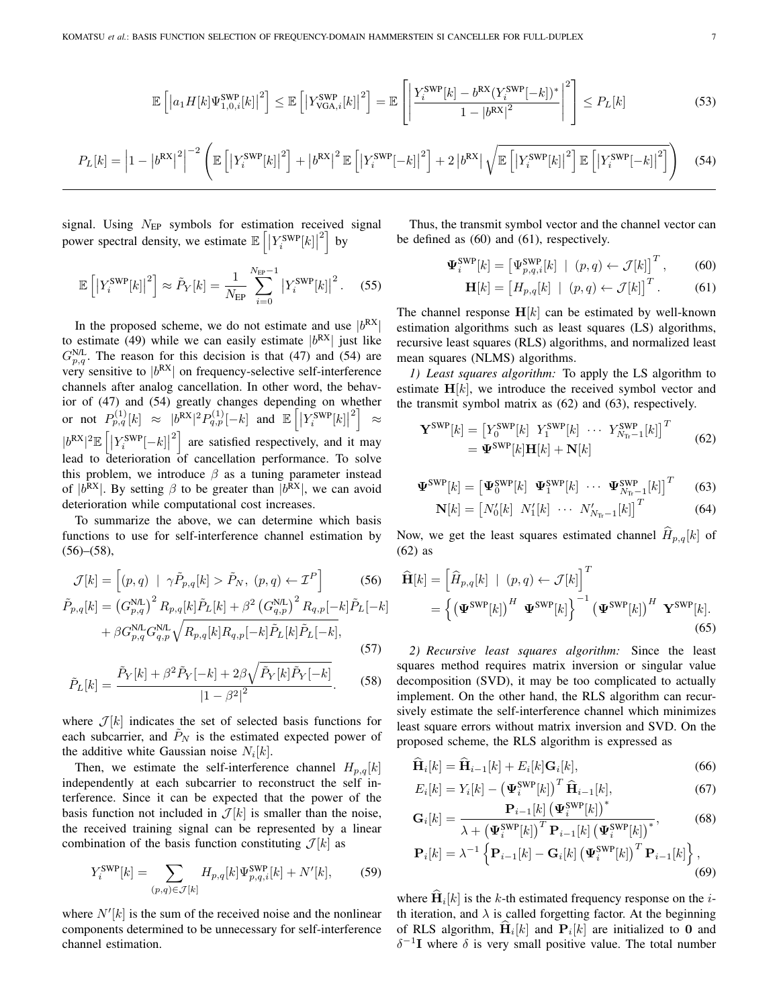$$
\mathbb{E}\left[\left|a_1H[k]\Psi_{1,0,i}^{\text{SWP}}[k]\right|^2\right] \leq \mathbb{E}\left[\left|Y_{\text{VGA},i}^{\text{SWP}}[k]\right|^2\right] = \mathbb{E}\left[\left|\frac{Y_i^{\text{SWP}}[k] - b^{\text{RX}}(Y_i^{\text{SWP}}[-k])^*}{1 - |b^{\text{RX}}|^2}\right|^2\right] \leq P_L[k] \tag{53}
$$

$$
P_L[k] = \left| 1 - \left| b^{\text{RX}} \right|^2 \right|^{-2} \left( \mathbb{E} \left[ \left| Y_i^{\text{SWP}}[k] \right|^2 \right] + \left| b^{\text{RX}} \right|^2 \mathbb{E} \left[ \left| Y_i^{\text{SWP}}[-k] \right|^2 \right] + 2 \left| b^{\text{RX}} \right| \sqrt{\mathbb{E} \left[ \left| Y_i^{\text{SWP}}[k] \right|^2 \right] \mathbb{E} \left[ \left| Y_i^{\text{SWP}}[-k] \right|^2 \right]} \right) \tag{54}
$$

signal. Using  $N_{EP}$  symbols for estimation received signal power spectral density, we estimate  $\mathbb{E}\left[\left|Y_i^{\text{SWP}}[k]\right|\right]$  $\left| \right|$  by

$$
\mathbb{E}\left[\left|Y_i^{\text{SWP}}[k]\right|^2\right] \approx \tilde{P}_Y[k] = \frac{1}{N_{\text{EP}}} \sum_{i=0}^{N_{\text{EP}}-1} \left|Y_i^{\text{SWP}}[k]\right|^2. \tag{55}
$$

In the proposed scheme, we do not estimate and use  $|b^{RX}|$ to estimate [\(49\)](#page-5-3) while we can easily estimate  $|b^{RX}|$  just like  $G_{p,q}^{\text{N/L}}$ . The reason for this decision is that [\(47\)](#page-5-1) and [\(54\)](#page-6-1) are very sensitive to  $|b^{RX}|$  on frequency-selective self-interference channels after analog cancellation. In other word, the behavior of [\(47\)](#page-5-1) and [\(54\)](#page-6-1) greatly changes depending on whether or not  $P_{p,q}^{(1)}[k] \approx |b^{RX}|^2 P_{q,p}^{(1)}[-k]$  and  $\mathbb{E}\left[\left|Y_i^{\text{SWP}}[k]\right|\right]$  $^{2}$ ≈  $|b^{\mathrm{RX}}|^2\mathbb{E}\left[\left|Y^{\mathrm{SWP}}_i[-k]\right|\right.$  $\left[2\right]$  are satisfied respectively, and it may lead to deterioration of cancellation performance. To solve this problem, we introduce  $\beta$  as a tuning parameter instead of  $|b^{RX}|$ . By setting  $\beta$  to be greater than  $|b^{RX}|$ , we can avoid deterioration while computational cost increases.

To summarize the above, we can determine which basis functions to use for self-interference channel estimation by  $(56)$ – $(58)$ ,

$$
\mathcal{J}[k] = \left[ (p, q) \mid \gamma \tilde{P}_{p,q}[k] > \tilde{P}_N, (p, q) \leftarrow \mathcal{I}^P \right] \tag{56}
$$

$$
\tilde{P}_{p,q}[k] = \left( G_{p,q}^{\text{NL}} \right)^2 R_{p,q}[k] \tilde{P}_L[k] + \beta^2 \left( G_{q,p}^{\text{NL}} \right)^2 R_{q,p}[-k] \tilde{P}_L[-k]
$$

$$
+ \beta G_{p,q}^{\text{NL}} G_{q,p}^{\text{NL}} \sqrt{R_{p,q}[k] R_{q,p}[-k] \tilde{P}_L[k] \tilde{P}_L[k]}.
$$
\n(57)

$$
\tilde{P}_L[k] = \frac{\tilde{P}_Y[k] + \beta^2 \tilde{P}_Y[-k] + 2\beta \sqrt{\tilde{P}_Y[k]\tilde{P}_Y[-k]}}{|1 - \beta^2|^2}.
$$
 (58)

where  $\mathcal{J}[k]$  indicates the set of selected basis functions for each subcarrier, and  $\ddot{P}_N$  is the estimated expected power of the additive white Gaussian noise  $N_i[k]$ .

Then, we estimate the self-interference channel  $H_{p,q}[k]$ independently at each subcarrier to reconstruct the self interference. Since it can be expected that the power of the basis function not included in  $\mathcal{J}[k]$  is smaller than the noise, the received training signal can be represented by a linear combination of the basis function constituting  $\mathcal{J}[k]$  as

$$
Y_i^{\text{SWP}}[k] = \sum_{(p,q)\in\mathcal{J}[k]} H_{p,q}[k] \Psi_{p,q,i}^{\text{SWP}}[k] + N'[k],\tag{59}
$$

where  $N'[k]$  is the sum of the received noise and the nonlinear components determined to be unnecessary for self-interference channel estimation.

Thus, the transmit symbol vector and the channel vector can be defined as [\(60\)](#page-6-5) and [\(61\)](#page-6-6), respectively.

<span id="page-6-0"></span>
$$
\mathbf{\Psi}_{i}^{\text{SWP}}[k] = \left[\Psi_{p,q,i}^{\text{SWP}}[k] \mid (p,q) \leftarrow \mathcal{J}[k]\right]^T, \quad (60)
$$

<span id="page-6-6"></span><span id="page-6-5"></span><span id="page-6-1"></span>
$$
\mathbf{H}[k] = \begin{bmatrix} H_{p,q}[k] & | & (p,q) \leftarrow \mathcal{J}[k] \end{bmatrix}^T. \tag{61}
$$

<span id="page-6-2"></span>The channel response  $H[k]$  can be estimated by well-known estimation algorithms such as least squares (LS) algorithms, recursive least squares (RLS) algorithms, and normalized least mean squares (NLMS) algorithms.

*1) Least squares algorithm:* To apply the LS algorithm to estimate  $H[k]$ , we introduce the received symbol vector and the transmit symbol matrix as [\(62\)](#page-6-7) and [\(63\)](#page-6-8), respectively.

$$
\mathbf{Y}^{\text{SWP}}[k] = \begin{bmatrix} Y_0^{\text{SWP}}[k] & Y_1^{\text{SWP}}[k] & \cdots & Y_{N_{\text{Tr}}-1}^{\text{SWP}}[k] \end{bmatrix}^T
$$
  
= 
$$
\mathbf{\Psi}^{\text{SWP}}[k]\mathbf{H}[k] + \mathbf{N}[k]
$$
 (62)

$$
\mathbf{\Psi}^{\text{SWP}}[k] = \begin{bmatrix} \mathbf{\Psi}_0^{\text{SWP}}[k] & \mathbf{\Psi}_1^{\text{SWP}}[k] & \cdots & \mathbf{\Psi}_{N_{\text{Tr}}-1}^{\text{SWP}}[k] \end{bmatrix}^T \tag{63}
$$

<span id="page-6-8"></span><span id="page-6-7"></span>
$$
\mathbf{N}[k] = \begin{bmatrix} N_0'[k] & N_1'[k] & \cdots & N_{N_{\text{Tr}}-1}'[k] \end{bmatrix}^T \tag{64}
$$

Now, we get the least squares estimated channel  $\widehat{H}_{p,q}[k]$  of [\(62\)](#page-6-7) as

<span id="page-6-3"></span>
$$
\widehat{\mathbf{H}}[k] = \left[\widehat{H}_{p,q}[k] \mid (p,q) \leftarrow \mathcal{J}[k]\right]^T
$$
\n
$$
= \left\{ \left(\mathbf{\Psi}^{\text{SWP}}[k]\right)^H \mathbf{\Psi}^{\text{SWP}}[k] \right\}^{-1} \left(\mathbf{\Psi}^{\text{SWP}}[k]\right)^H \mathbf{Y}^{\text{SWP}}[k].
$$
\n(65)

<span id="page-6-4"></span>*2) Recursive least squares algorithm:* Since the least squares method requires matrix inversion or singular value decomposition (SVD), it may be too complicated to actually implement. On the other hand, the RLS algorithm can recursively estimate the self-interference channel which minimizes least square errors without matrix inversion and SVD. On the proposed scheme, the RLS algorithm is expressed as

<span id="page-6-9"></span>
$$
\widehat{\mathbf{H}}_i[k] = \widehat{\mathbf{H}}_{i-1}[k] + E_i[k]\mathbf{G}_i[k],\tag{66}
$$

$$
E_i[k] = Y_i[k] - \left(\mathbf{\Psi}_i^{\text{SWP}}[k]\right)^T \widehat{\mathbf{H}}_{i-1}[k],\tag{67}
$$

$$
\mathbf{G}_{i}[k] = \frac{\mathbf{P}_{i-1}[k] \left(\mathbf{\Psi}_{i}^{\text{SWP}}[k]\right)^{*}}{\lambda + \left(\mathbf{\Psi}_{i}^{\text{SWP}}[k]\right)^{T} \mathbf{P}_{i-1}[k] \left(\mathbf{\Psi}_{i}^{\text{SWP}}[k]\right)^{*}},
$$
(68)

<span id="page-6-10"></span>
$$
\mathbf{P}_{i}[k] = \lambda^{-1} \left\{ \mathbf{P}_{i-1}[k] - \mathbf{G}_{i}[k] \left( \mathbf{\Psi}_{i}^{\text{SWP}}[k] \right)^{T} \mathbf{P}_{i-1}[k] \right\},\tag{69}
$$

<span id="page-6-11"></span>where  $H_i[k]$  is the k-th estimated frequency response on the *i*th iteration, and  $\lambda$  is called forgetting factor. At the beginning of RLS algorithm,  $\mathbf{H}_i[k]$  and  $\mathbf{P}_i[k]$  are initialized to 0 and  $\delta^{-1}I$  where  $\delta$  is very small positive value. The total number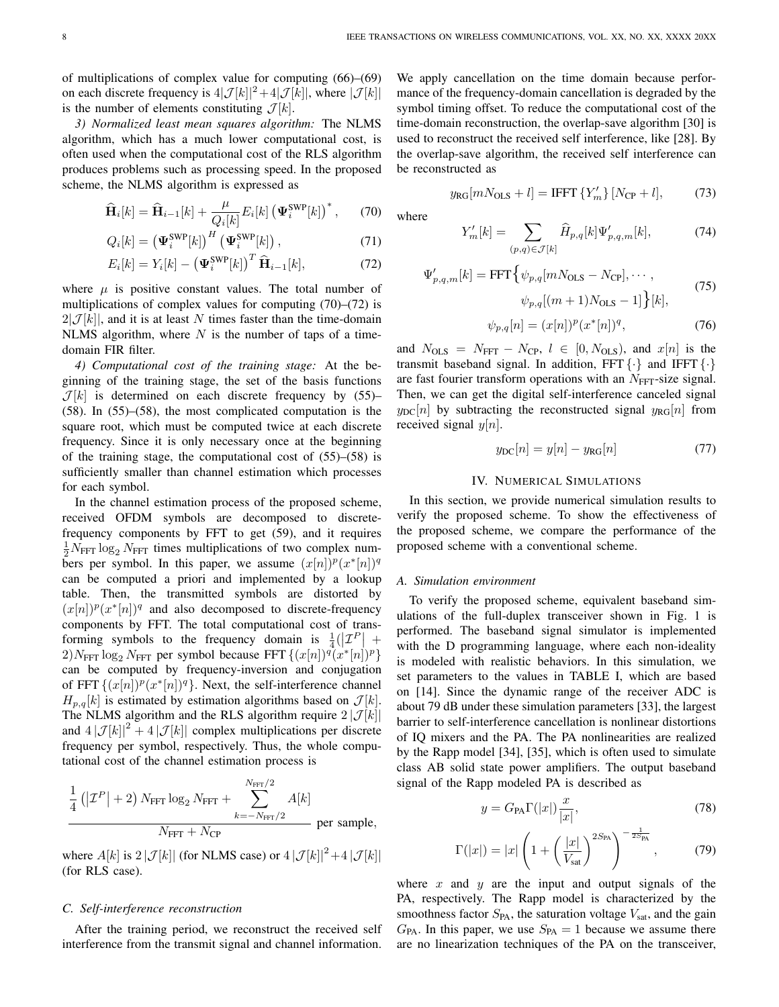of multiplications of complex value for computing [\(66\)](#page-6-9)–[\(69\)](#page-6-10) on each discrete frequency is  $4|\mathcal{J}[k]|^2+4|\mathcal{J}[k]|$ , where  $|\mathcal{J}[k]|$ is the number of elements constituting  $\mathcal{J}[k]$ .

*3) Normalized least mean squares algorithm:* The NLMS algorithm, which has a much lower computational cost, is often used when the computational cost of the RLS algorithm produces problems such as processing speed. In the proposed scheme, the NLMS algorithm is expressed as

$$
\widehat{\mathbf{H}}_{i}[k] = \widehat{\mathbf{H}}_{i-1}[k] + \frac{\mu}{Q_{i}[k]} E_{i}[k] \left(\mathbf{\Psi}_{i}^{\text{SWP}}[k]\right)^{*},\qquad(70)
$$

$$
Q_i[k] = \left(\mathbf{\Psi}_i^{\text{SWP}}[k]\right)^H \left(\mathbf{\Psi}_i^{\text{SWP}}[k]\right),\tag{71}
$$

$$
E_i[k] = Y_i[k] - \left(\mathbf{\Psi}_i^{\text{SWP}}[k]\right)^T \widehat{\mathbf{H}}_{i-1}[k],\tag{72}
$$

where  $\mu$  is positive constant values. The total number of multiplications of complex values for computing [\(70\)](#page-7-0)–[\(72\)](#page-7-1) is  $2|\mathcal{J}[k]|$ , and it is at least N times faster than the time-domain NLMS algorithm, where  $N$  is the number of taps of a timedomain FIR filter.

*4) Computational cost of the training stage:* At the beginning of the training stage, the set of the basis functions  $\mathcal{J}[k]$  is determined on each discrete frequency by [\(55\)](#page-6-2)– [\(58\)](#page-6-4). In [\(55\)](#page-6-2)–[\(58\)](#page-6-4), the most complicated computation is the square root, which must be computed twice at each discrete frequency. Since it is only necessary once at the beginning of the training stage, the computational cost of [\(55\)](#page-6-2)–[\(58\)](#page-6-4) is sufficiently smaller than channel estimation which processes for each symbol.

In the channel estimation process of the proposed scheme, received OFDM symbols are decomposed to discretefrequency components by FFT to get [\(59\)](#page-6-11), and it requires  $\frac{1}{2}N_{\text{FFT}}\log_2 N_{\text{FFT}}$  times multiplications of two complex numbers per symbol. In this paper, we assume  $(x[n])^p (x^*[n])^q$ can be computed a priori and implemented by a lookup table. Then, the transmitted symbols are distorted by  $(x[n])^p (x^*[n])^q$  and also decomposed to discrete-frequency components by FFT. The total computational cost of transforming symbols to the frequency domain is  $\frac{1}{4}(|\mathcal{I}^P| +$  $2)N_{\text{FFT}} \log_2 N_{\text{FFT}}$  per symbol because FFT  $\{(x[n])^q (x^*[n])^p\}$ can be computed by frequency-inversion and conjugation of FFT  $\{(x[n])^p(x^*[n])^q\}$ . Next, the self-interference channel  $H_{p,q}[k]$  is estimated by estimation algorithms based on  $\mathcal{J}[k]$ . The NLMS algorithm and the RLS algorithm require  $2|\mathcal{J}[k]|$ and  $4|\mathcal{J}[k]|^2 + 4|\mathcal{J}[k]|$  complex multiplications per discrete frequency per symbol, respectively. Thus, the whole computational cost of the channel estimation process is

$$
\frac{1}{4} \left( \left| \mathcal{I}^P \right| + 2 \right) N_{\text{FFT}} \log_2 N_{\text{FFT}} + \sum_{k=-N_{\text{FFT}}/2}^{N_{\text{FFT}}/2} A[k] \sum_{N_{\text{FFT}} + N_{\text{CP}}} \text{per sample},
$$

where  $A[k]$  is  $2|\mathcal{J}[k]|$  (for NLMS case) or  $4|\mathcal{J}[k]|^2+4|\mathcal{J}[k]|$ (for RLS case).

## *C. Self-interference reconstruction*

After the training period, we reconstruct the received self interference from the transmit signal and channel information.

We apply cancellation on the time domain because performance of the frequency-domain cancellation is degraded by the symbol timing offset. To reduce the computational cost of the time-domain reconstruction, the overlap-save algorithm [\[30\]](#page-12-18) is used to reconstruct the received self interference, like [\[28\]](#page-12-14). By the overlap-save algorithm, the received self interference can be reconstructed as

$$
y_{\rm RG}[mN_{\rm OLS} + l] = \text{IFFT} \{ Y'_m \} [N_{\rm CP} + l],\tag{73}
$$

<span id="page-7-1"></span><span id="page-7-0"></span>where

$$
Y'_{m}[k] = \sum_{(p,q)\in\mathcal{J}[k]} \hat{H}_{p,q}[k] \Psi'_{p,q,m}[k],\tag{74}
$$

$$
\Psi'_{p,q,m}[k] = \text{FFT}\left\{\psi_{p,q}[mN_{\text{OLS}} - N_{\text{CP}}], \cdots, \psi_{p,q}[(m+1)N_{\text{OLS}} - 1]\right\}[k],\tag{75}
$$

$$
\psi_{p,q}[n] = (x[n])^p (x^*[n])^q, \tag{76}
$$

and  $N_{OLS} = N_{FFT} - N_{CP}$ ,  $l \in [0, N_{OLS})$ , and  $x[n]$  is the transmit baseband signal. In addition, FFT  $\{\cdot\}$  and IFFT  $\{\cdot\}$ are fast fourier transform operations with an  $N<sub>FFT</sub>$ -size signal. Then, we can get the digital self-interference canceled signal  $y_{DC}[n]$  by subtracting the reconstructed signal  $y_{RG}[n]$  from received signal  $y[n]$ .

$$
y_{\rm DC}[n] = y[n] - y_{\rm RG}[n] \tag{77}
$$

## IV. NUMERICAL SIMULATIONS

In this section, we provide numerical simulation results to verify the proposed scheme. To show the effectiveness of the proposed scheme, we compare the performance of the proposed scheme with a conventional scheme.

# *A. Simulation environment*

To verify the proposed scheme, equivalent baseband simulations of the full-duplex transceiver shown in Fig. [1](#page-2-0) is performed. The baseband signal simulator is implemented with the D programming language, where each non-ideality is modeled with realistic behaviors. In this simulation, we set parameters to the values in TABLE [I,](#page-8-0) which are based on [\[14\]](#page-12-16). Since the dynamic range of the receiver ADC is about 79 dB under these simulation parameters [\[33\]](#page-12-19), the largest barrier to self-interference cancellation is nonlinear distortions of IQ mixers and the PA. The PA nonlinearities are realized by the Rapp model [\[34\]](#page-12-20), [\[35\]](#page-12-21), which is often used to simulate class AB solid state power amplifiers. The output baseband signal of the Rapp modeled PA is described as

$$
y = G_{\text{PA}} \Gamma(|x|) \frac{x}{|x|},\tag{78}
$$

$$
\Gamma(|x|) = |x| \left( 1 + \left(\frac{|x|}{V_{\text{sat}}}\right)^{2S_{\text{PA}}}\right)^{-\frac{1}{2S_{\text{PA}}}},\tag{79}
$$

where  $x$  and  $y$  are the input and output signals of the PA, respectively. The Rapp model is characterized by the smoothness factor  $S_{PA}$ , the saturation voltage  $V_{sat}$ , and the gain  $G_{\text{PA}}$ . In this paper, we use  $S_{\text{PA}} = 1$  because we assume there are no linearization techniques of the PA on the transceiver,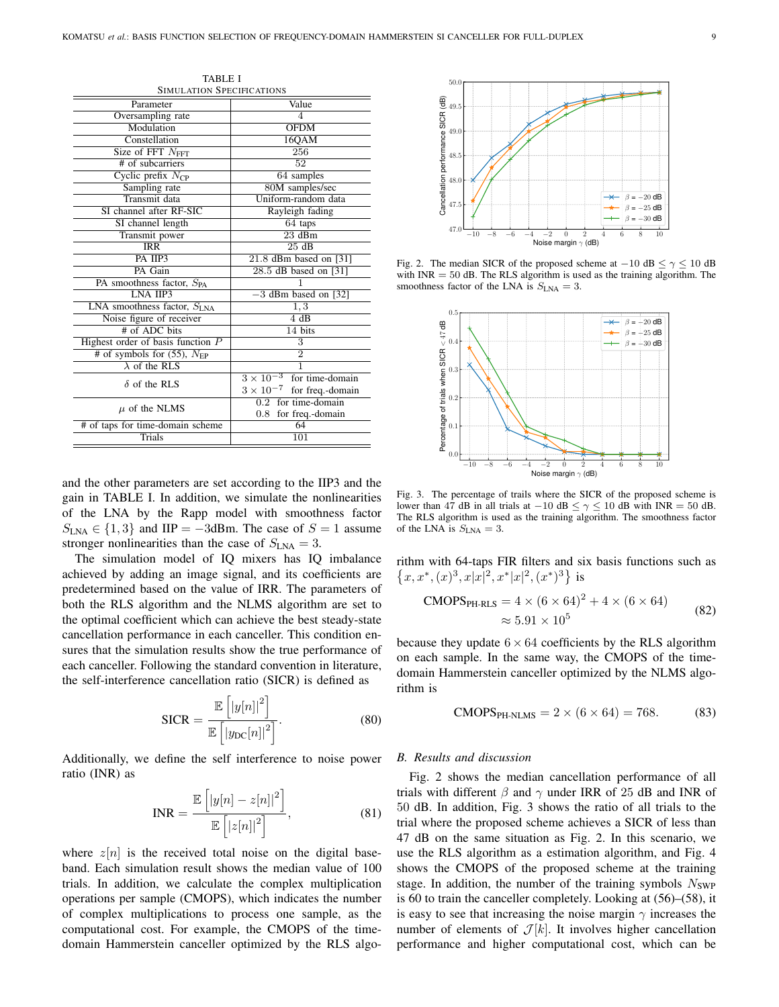<span id="page-8-0"></span>

| <b>SIMULATION SPECIFICATIONS</b>          |                                        |
|-------------------------------------------|----------------------------------------|
| Parameter                                 | Value                                  |
| Oversampling rate                         | 4                                      |
| Modulation                                | <b>OFDM</b>                            |
| Constellation                             | 16QAM                                  |
| Size of FFT $NFFT$                        | 256                                    |
| # of subcarriers                          | $\overline{52}$                        |
| Cyclic prefix $N_{\text{CP}}$             | 64 samples                             |
| Sampling rate                             | 80M samples/sec                        |
| Transmit data                             | Uniform-random data                    |
| SI channel after RF-SIC                   | Rayleigh fading                        |
| SI channel length                         | 64 taps                                |
| Transmit power                            | $\overline{23}$ dBm                    |
| <b>IRR</b>                                | 25dB                                   |
| PA IIP3                                   | $21.8$ dBm based on $[31]$             |
| PA Gain                                   | 28.5 dB based on [31]                  |
| PA smoothness factor, S <sub>PA</sub>     | 1                                      |
| <b>LNA IIP3</b>                           | $-3$ dBm based on [32]                 |
| LNA smoothness factor, SLNA               | $\overline{1,3}$                       |
| Noise figure of receiver                  | 4 dB                                   |
| # of ADC bits                             | 14 bits                                |
| Highest order of basis function $P$       | 3                                      |
| # of symbols for $(55)$ , $N_{\text{FP}}$ | $\overline{2}$                         |
| $\lambda$ of the RLS                      | 1                                      |
| $\delta$ of the RLS                       | $3\times10^{-3}$<br>for time-domain    |
|                                           | $3 \times 10^{-7}$<br>for freq.-domain |
| $\mu$ of the NLMS                         | $0.2$ for time-domain                  |
|                                           | for freq.-domain<br>$0.8\,$            |
| # of taps for time-domain scheme          | 64                                     |
| <b>Trials</b>                             | 101                                    |
|                                           |                                        |

TABLE I

and the other parameters are set according to the IIP3 and the gain in TABLE [I.](#page-8-0) In addition, we simulate the nonlinearities of the LNA by the Rapp model with smoothness factor  $S<sub>LNA</sub> \in \{1,3\}$  and IIP = -3dBm. The case of  $S = 1$  assume stronger nonlinearities than the case of  $S<sub>INA</sub> = 3$ .

The simulation model of IQ mixers has IQ imbalance achieved by adding an image signal, and its coefficients are predetermined based on the value of IRR. The parameters of both the RLS algorithm and the NLMS algorithm are set to the optimal coefficient which can achieve the best steady-state cancellation performance in each canceller. This condition ensures that the simulation results show the true performance of each canceller. Following the standard convention in literature, the self-interference cancellation ratio (SICR) is defined as

$$
\text{SICR} = \frac{\mathbb{E}\left[|y[n]|^2\right]}{\mathbb{E}\left[|y_{\text{DC}}[n]|^2\right]}.\tag{80}
$$

Additionally, we define the self interference to noise power ratio (INR) as

$$
INR = \frac{\mathbb{E}\left[|y[n] - z[n]|^2\right]}{\mathbb{E}\left[|z[n]|^2\right]},
$$
\n(81)

where  $z[n]$  is the received total noise on the digital baseband. Each simulation result shows the median value of 100 trials. In addition, we calculate the complex multiplication operations per sample (CMOPS), which indicates the number of complex multiplications to process one sample, as the computational cost. For example, the CMOPS of the timedomain Hammerstein canceller optimized by the RLS algo-



<span id="page-8-1"></span>Fig. 2. The median SICR of the proposed scheme at  $-10$  dB  $\leq \gamma \leq 10$  dB with  $INR = 50$  dB. The RLS algorithm is used as the training algorithm. The smoothness factor of the LNA is  $S_{\text{LNA}} = 3$ .



<span id="page-8-2"></span>Fig. 3. The percentage of trails where the SICR of the proposed scheme is lower than 47 dB in all trials at −10 dB  $\leq \gamma \leq 10$  dB with INR = 50 dB. The RLS algorithm is used as the training algorithm. The smoothness factor of the LNA is  $S_{\text{LNA}} = 3$ .

rithm with 64-taps FIR filters and six basis functions such as  $\{x, x^*, (x)^3, x|x|^2, x^*|x|^2, (x^*)^3\}$  is

CMOPSPH-RLS = 4 <sup>×</sup> (6 <sup>×</sup> 64)<sup>2</sup> + 4 <sup>×</sup> (6 <sup>×</sup> 64) <sup>≈</sup> <sup>5</sup>.<sup>91</sup> <sup>×</sup> <sup>10</sup><sup>5</sup> (82)

because they update  $6 \times 64$  coefficients by the RLS algorithm on each sample. In the same way, the CMOPS of the timedomain Hammerstein canceller optimized by the NLMS algorithm is

$$
CMOPSPH-NLMS = 2 \times (6 \times 64) = 768.
$$
 (83)

#### *B. Results and discussion*

Fig. [2](#page-8-1) shows the median cancellation performance of all trials with different  $\beta$  and  $\gamma$  under IRR of 25 dB and INR of 50 dB. In addition, Fig. [3](#page-8-2) shows the ratio of all trials to the trial where the proposed scheme achieves a SICR of less than 47 dB on the same situation as Fig. [2.](#page-8-1) In this scenario, we use the RLS algorithm as a estimation algorithm, and Fig. [4](#page-9-0) shows the CMOPS of the proposed scheme at the training stage. In addition, the number of the training symbols  $N_{SWP}$ is 60 to train the canceller completely. Looking at [\(56\)](#page-6-3)–[\(58\)](#page-6-4), it is easy to see that increasing the noise margin  $\gamma$  increases the number of elements of  $\mathcal{J}[k]$ . It involves higher cancellation performance and higher computational cost, which can be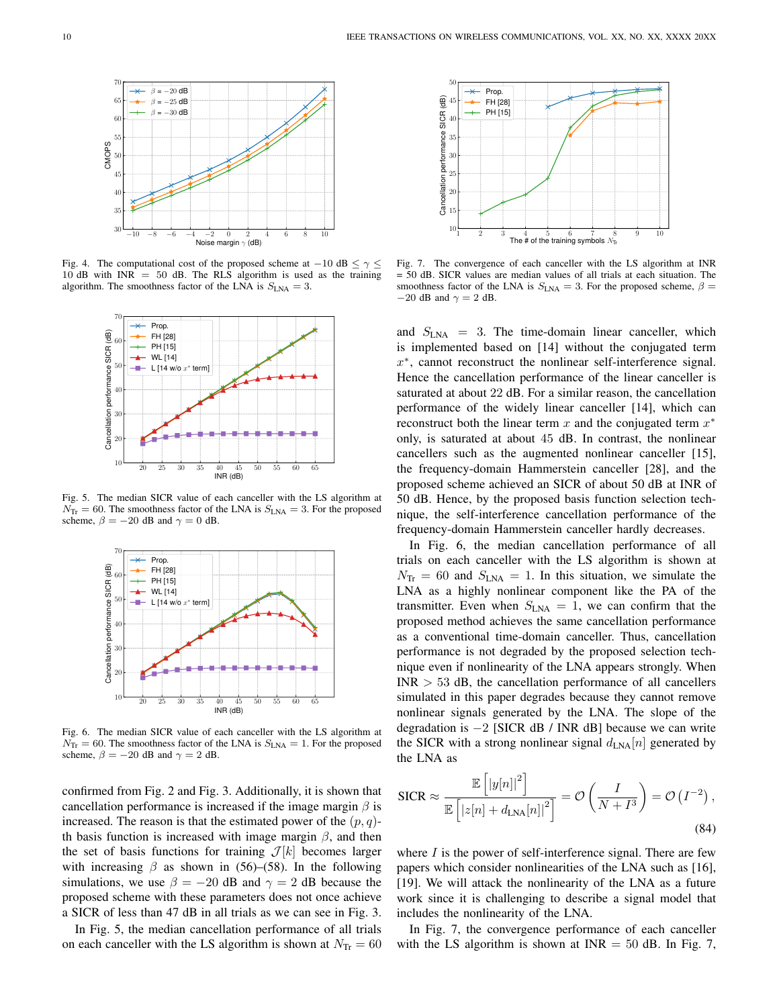

<span id="page-9-0"></span>Fig. 4. The computational cost of the proposed scheme at  $-10$  dB  $\leq \gamma \leq$ 10 dB with  $INR = 50$  dB. The RLS algorithm is used as the training algorithm. The smoothness factor of the LNA is  $S_{\text{LNA}} = 3$ .



<span id="page-9-1"></span>Fig. 5. The median SICR value of each canceller with the LS algorithm at  $N_{\text{Tr}}$  = 60. The smoothness factor of the LNA is  $S_{\text{LNA}}$  = 3. For the proposed scheme,  $\beta = -20$  dB and  $\gamma = 0$  dB.



<span id="page-9-2"></span>Fig. 6. The median SICR value of each canceller with the LS algorithm at  $N_{\text{Tr}} = 60$ . The smoothness factor of the LNA is  $S_{\text{LNA}} = 1$ . For the proposed scheme,  $\beta = -20$  dB and  $\gamma = 2$  dB.

confirmed from Fig. [2](#page-8-1) and Fig. [3.](#page-8-2) Additionally, it is shown that cancellation performance is increased if the image margin  $\beta$  is increased. The reason is that the estimated power of the  $(p, q)$ th basis function is increased with image margin  $\beta$ , and then the set of basis functions for training  $\mathcal{J}[k]$  becomes larger with increasing  $\beta$  as shown in [\(56\)](#page-6-3)–[\(58\)](#page-6-4). In the following simulations, we use  $\beta = -20$  dB and  $\gamma = 2$  dB because the proposed scheme with these parameters does not once achieve a SICR of less than 47 dB in all trials as we can see in Fig. [3.](#page-8-2)

In Fig. [5,](#page-9-1) the median cancellation performance of all trials on each canceller with the LS algorithm is shown at  $N_{\text{Tr}} = 60$ 



<span id="page-9-3"></span>Fig. 7. The convergence of each canceller with the LS algorithm at INR = 50 dB. SICR values are median values of all trials at each situation. The smoothness factor of the LNA is  $S_{\text{LNA}} = 3$ . For the proposed scheme,  $\beta =$  $-20$  dB and  $\gamma = 2$  dB.

and  $S_{LNA}$  = 3. The time-domain linear canceller, which is implemented based on [\[14\]](#page-12-16) without the conjugated term x ∗ , cannot reconstruct the nonlinear self-interference signal. Hence the cancellation performance of the linear canceller is saturated at about 22 dB. For a similar reason, the cancellation performance of the widely linear canceller [\[14\]](#page-12-16), which can reconstruct both the linear term  $x$  and the conjugated term  $x^*$ only, is saturated at about 45 dB. In contrast, the nonlinear cancellers such as the augmented nonlinear canceller [\[15\]](#page-12-6), the frequency-domain Hammerstein canceller [\[28\]](#page-12-14), and the proposed scheme achieved an SICR of about 50 dB at INR of 50 dB. Hence, by the proposed basis function selection technique, the self-interference cancellation performance of the frequency-domain Hammerstein canceller hardly decreases.

In Fig. [6,](#page-9-2) the median cancellation performance of all trials on each canceller with the LS algorithm is shown at  $N_{\text{Tr}} = 60$  and  $S_{\text{LNA}} = 1$ . In this situation, we simulate the LNA as a highly nonlinear component like the PA of the transmitter. Even when  $S_{LNA} = 1$ , we can confirm that the proposed method achieves the same cancellation performance as a conventional time-domain canceller. Thus, cancellation performance is not degraded by the proposed selection technique even if nonlinearity of the LNA appears strongly. When  $INR > 53$  dB, the cancellation performance of all cancellers simulated in this paper degrades because they cannot remove nonlinear signals generated by the LNA. The slope of the degradation is  $-2$  [SICR dB / INR dB] because we can write the SICR with a strong nonlinear signal  $d_{LNA}[n]$  generated by the LNA as

$$
\text{SICR} \approx \frac{\mathbb{E}\left[|y[n]|^2\right]}{\mathbb{E}\left[|z[n] + d_{\text{LNA}}[n]|^2\right]} = \mathcal{O}\left(\frac{I}{N+I^3}\right) = \mathcal{O}\left(I^{-2}\right),\tag{84}
$$

where  $I$  is the power of self-interference signal. There are few papers which consider nonlinearities of the LNA such as [\[16\]](#page-12-3), [\[19\]](#page-12-7). We will attack the nonlinearity of the LNA as a future work since it is challenging to describe a signal model that includes the nonlinearity of the LNA.

In Fig. [7,](#page-9-3) the convergence performance of each canceller with the LS algorithm is shown at  $INR = 50$  dB. In Fig. [7,](#page-9-3)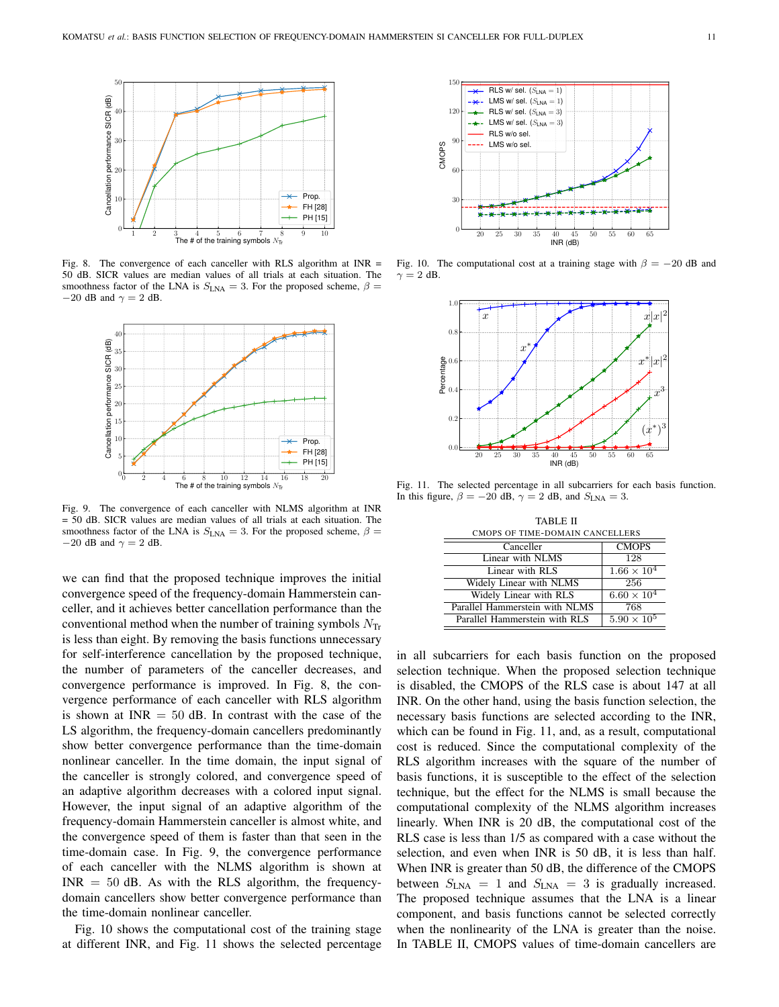

<span id="page-10-0"></span>Fig. 8. The convergence of each canceller with RLS algorithm at INR = 50 dB. SICR values are median values of all trials at each situation. The smoothness factor of the LNA is  $S_{\text{LNA}} = 3$ . For the proposed scheme,  $\beta =$  $-20$  dB and  $\gamma = 2$  dB.



<span id="page-10-1"></span>Fig. 9. The convergence of each canceller with NLMS algorithm at INR = 50 dB. SICR values are median values of all trials at each situation. The smoothness factor of the LNA is  $S_{\text{LNA}} = 3$ . For the proposed scheme,  $\beta =$  $-20$  dB and  $\gamma = 2$  dB.

we can find that the proposed technique improves the initial convergence speed of the frequency-domain Hammerstein canceller, and it achieves better cancellation performance than the conventional method when the number of training symbols  $N_{\text{Tr}}$ is less than eight. By removing the basis functions unnecessary for self-interference cancellation by the proposed technique, the number of parameters of the canceller decreases, and convergence performance is improved. In Fig. [8,](#page-10-0) the convergence performance of each canceller with RLS algorithm is shown at  $INR = 50$  dB. In contrast with the case of the LS algorithm, the frequency-domain cancellers predominantly show better convergence performance than the time-domain nonlinear canceller. In the time domain, the input signal of the canceller is strongly colored, and convergence speed of an adaptive algorithm decreases with a colored input signal. However, the input signal of an adaptive algorithm of the frequency-domain Hammerstein canceller is almost white, and the convergence speed of them is faster than that seen in the time-domain case. In Fig. [9,](#page-10-1) the convergence performance of each canceller with the NLMS algorithm is shown at  $INR = 50$  dB. As with the RLS algorithm, the frequencydomain cancellers show better convergence performance than the time-domain nonlinear canceller.

Fig. [10](#page-10-2) shows the computational cost of the training stage at different INR, and Fig. [11](#page-10-3) shows the selected percentage



Fig. 10. The computational cost at a training stage with  $\beta = -20$  dB and  $\gamma = 2$  dB.

<span id="page-10-2"></span>

<span id="page-10-4"></span>Fig. 11. The selected percentage in all subcarriers for each basis function. In this figure,  $\beta = -20$  dB,  $\gamma = 2$  dB, and  $S_{\text{LNA}} = 3$ .

<span id="page-10-3"></span>

| <b>TABLE II</b>                 |                      |  |
|---------------------------------|----------------------|--|
| CMOPS OF TIME-DOMAIN CANCELLERS |                      |  |
| Canceller                       | <b>CMOPS</b>         |  |
| Linear with NLMS                | 128                  |  |
| Linear with RLS                 | $1.66 \times 10^{4}$ |  |
| Widely Linear with NLMS         | 256                  |  |
| Widely Linear with RLS          | $6.60 \times 10^{4}$ |  |
| Parallel Hammerstein with NLMS  | 768                  |  |
| Parallel Hammerstein with RLS   | $5.90 \times 10^{5}$ |  |

in all subcarriers for each basis function on the proposed selection technique. When the proposed selection technique is disabled, the CMOPS of the RLS case is about 147 at all INR. On the other hand, using the basis function selection, the necessary basis functions are selected according to the INR, which can be found in Fig. [11,](#page-10-3) and, as a result, computational cost is reduced. Since the computational complexity of the RLS algorithm increases with the square of the number of basis functions, it is susceptible to the effect of the selection technique, but the effect for the NLMS is small because the computational complexity of the NLMS algorithm increases linearly. When INR is 20 dB, the computational cost of the RLS case is less than 1/5 as compared with a case without the selection, and even when INR is 50 dB, it is less than half. When INR is greater than 50 dB, the difference of the CMOPS between  $S_{\text{LNA}} = 1$  and  $S_{\text{LNA}} = 3$  is gradually increased. The proposed technique assumes that the LNA is a linear component, and basis functions cannot be selected correctly when the nonlinearity of the LNA is greater than the noise. In TABLE [II,](#page-10-4) CMOPS values of time-domain cancellers are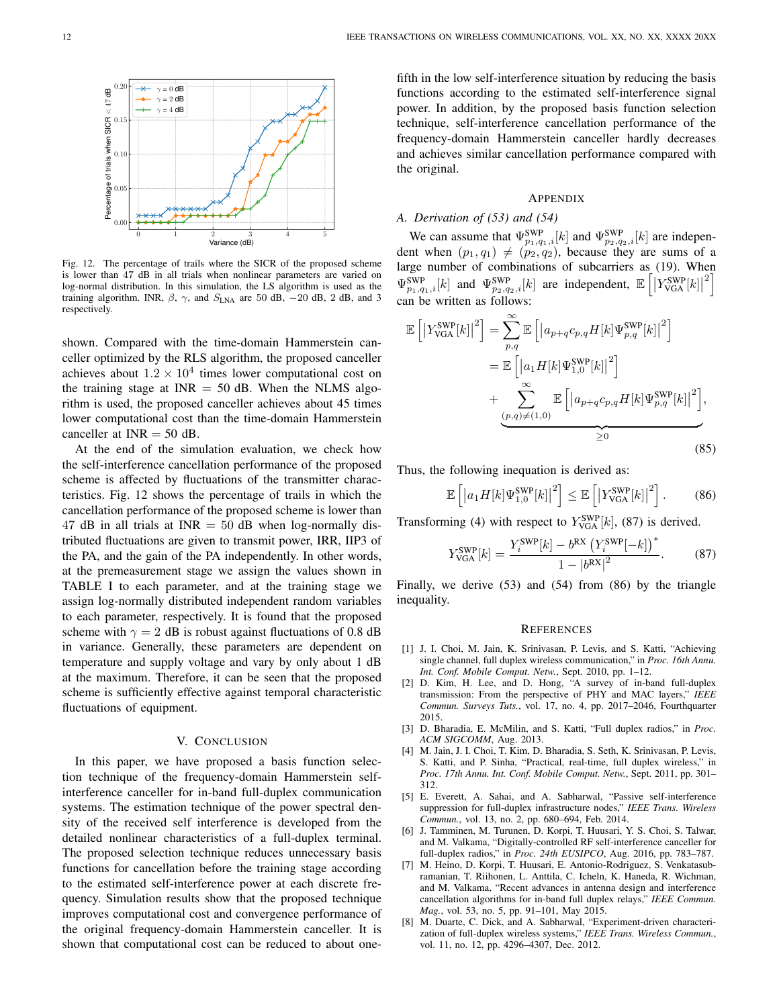

<span id="page-11-9"></span>Fig. 12. The percentage of trails where the SICR of the proposed scheme is lower than 47 dB in all trials when nonlinear parameters are varied on log-normal distribution. In this simulation, the LS algorithm is used as the training algorithm. INR,  $\beta$ ,  $\gamma$ , and  $S_{\text{LNA}}$  are 50 dB, -20 dB, 2 dB, and 3 respectively.

shown. Compared with the time-domain Hammerstein canceller optimized by the RLS algorithm, the proposed canceller achieves about  $1.2 \times 10^4$  times lower computational cost on the training stage at  $INR = 50$  dB. When the NLMS algorithm is used, the proposed canceller achieves about 45 times lower computational cost than the time-domain Hammerstein canceller at  $INR = 50$  dB.

At the end of the simulation evaluation, we check how the self-interference cancellation performance of the proposed scheme is affected by fluctuations of the transmitter characteristics. Fig. [12](#page-11-9) shows the percentage of trails in which the cancellation performance of the proposed scheme is lower than 47 dB in all trials at INR  $=$  50 dB when log-normally distributed fluctuations are given to transmit power, IRR, IIP3 of the PA, and the gain of the PA independently. In other words, at the premeasurement stage we assign the values shown in TABLE [I](#page-8-0) to each parameter, and at the training stage we assign log-normally distributed independent random variables to each parameter, respectively. It is found that the proposed scheme with  $\gamma = 2$  dB is robust against fluctuations of 0.8 dB in variance. Generally, these parameters are dependent on temperature and supply voltage and vary by only about 1 dB at the maximum. Therefore, it can be seen that the proposed scheme is sufficiently effective against temporal characteristic fluctuations of equipment.

# V. CONCLUSION

In this paper, we have proposed a basis function selection technique of the frequency-domain Hammerstein selfinterference canceller for in-band full-duplex communication systems. The estimation technique of the power spectral density of the received self interference is developed from the detailed nonlinear characteristics of a full-duplex terminal. The proposed selection technique reduces unnecessary basis functions for cancellation before the training stage according to the estimated self-interference power at each discrete frequency. Simulation results show that the proposed technique improves computational cost and convergence performance of the original frequency-domain Hammerstein canceller. It is shown that computational cost can be reduced to about one-

fifth in the low self-interference situation by reducing the basis functions according to the estimated self-interference signal power. In addition, by the proposed basis function selection technique, self-interference cancellation performance of the frequency-domain Hammerstein canceller hardly decreases and achieves similar cancellation performance compared with the original.

## APPENDIX

## <span id="page-11-8"></span>*A. Derivation of [\(53\)](#page-6-0) and [\(54\)](#page-6-1)*

We can assume that  $\Psi_{p_1,q_1,i}^{\text{SWP}}[k]$  and  $\Psi_{p_2,q_2,i}^{\text{SWP}}[k]$  are independent when  $(p_1, q_1) \neq (p_2, q_2)$ , because they are sums of a large number of combinations of subcarriers as [\(19\)](#page-4-0). When  $\Psi^{\text{SWP}}_{p_1, q_1, i}[k]$  and  $\Psi^{\text{SWP}}_{p_2, q_2, i}[k]$  are independent,  $\mathbb{E}\left[\left|Y^{\text{SWP}}_{\text{VGA}}[k]\right|\right]$  $^{2}$ can be written as follows:

$$
\mathbb{E}\left[\left|Y_{\text{VGA}}^{\text{SWP}}[k]\right|^{2}\right] = \sum_{p,q}^{\infty} \mathbb{E}\left[\left|a_{p+q}c_{p,q}H[k]\Psi_{p,q}^{\text{SWP}}[k]\right|^{2}\right]
$$

$$
= \mathbb{E}\left[\left|a_{1}H[k]\Psi_{1,0}^{\text{SWP}}[k]\right|^{2}\right]
$$

$$
+ \sum_{(p,q)\neq(1,0)}^{\infty} \mathbb{E}\left[\left|a_{p+q}c_{p,q}H[k]\Psi_{p,q}^{\text{SWP}}[k]\right|^{2}\right],
$$
(85)

Thus, the following inequation is derived as:

$$
\mathbb{E}\left[\left|a_1H[k]\Psi_{1,0}^{\text{SWP}}[k]\right|^2\right] \leq \mathbb{E}\left[\left|Y_{\text{VGA}}^{\text{SWP}}[k]\right|^2\right].\tag{86}
$$

Transforming [\(4\)](#page-2-1) with respect to  $Y_{\text{VGA}}^{\text{SWP}}[k]$ , [\(87\)](#page-11-10) is derived.

$$
Y_{\text{VGA}}^{\text{SWP}}[k] = \frac{Y_i^{\text{SWP}}[k] - b^{\text{RX}} \left(Y_i^{\text{SWP}}[-k]\right)^*}{1 - |b^{\text{RX}}|^2}.
$$
 (87)

Finally, we derive [\(53\)](#page-6-0) and [\(54\)](#page-6-1) from [\(86\)](#page-11-11) by the triangle inequality.

### <span id="page-11-11"></span><span id="page-11-10"></span>**REFERENCES**

- <span id="page-11-0"></span>[1] J. I. Choi, M. Jain, K. Srinivasan, P. Levis, and S. Katti, "Achieving single channel, full duplex wireless communication," in *Proc. 16th Annu. Int. Conf. Mobile Comput. Netw.*, Sept. 2010, pp. 1–12.
- <span id="page-11-1"></span>[2] D. Kim, H. Lee, and D. Hong, "A survey of in-band full-duplex transmission: From the perspective of PHY and MAC layers," *IEEE Commun. Surveys Tuts.*, vol. 17, no. 4, pp. 2017–2046, Fourthquarter 2015.
- <span id="page-11-2"></span>[3] D. Bharadia, E. McMilin, and S. Katti, "Full duplex radios," in *Proc. ACM SIGCOMM*, Aug. 2013.
- <span id="page-11-3"></span>[4] M. Jain, J. I. Choi, T. Kim, D. Bharadia, S. Seth, K. Srinivasan, P. Levis, S. Katti, and P. Sinha, "Practical, real-time, full duplex wireless," in *Proc. 17th Annu. Int. Conf. Mobile Comput. Netw.*, Sept. 2011, pp. 301– 312.
- <span id="page-11-4"></span>[5] E. Everett, A. Sahai, and A. Sabharwal, "Passive self-interference suppression for full-duplex infrastructure nodes," *IEEE Trans. Wireless Commun.*, vol. 13, no. 2, pp. 680–694, Feb. 2014.
- <span id="page-11-5"></span>[6] J. Tamminen, M. Turunen, D. Korpi, T. Huusari, Y. S. Choi, S. Talwar, and M. Valkama, "Digitally-controlled RF self-interference canceller for full-duplex radios," in *Proc. 24th EUSIPCO*, Aug. 2016, pp. 783–787.
- <span id="page-11-6"></span>[7] M. Heino, D. Korpi, T. Huusari, E. Antonio-Rodriguez, S. Venkatasubramanian, T. Riihonen, L. Anttila, C. Icheln, K. Haneda, R. Wichman, and M. Valkama, "Recent advances in antenna design and interference cancellation algorithms for in-band full duplex relays," *IEEE Commun. Mag.*, vol. 53, no. 5, pp. 91–101, May 2015.
- <span id="page-11-7"></span>[8] M. Duarte, C. Dick, and A. Sabharwal, "Experiment-driven characterization of full-duplex wireless systems," *IEEE Trans. Wireless Commun.*, vol. 11, no. 12, pp. 4296–4307, Dec. 2012.